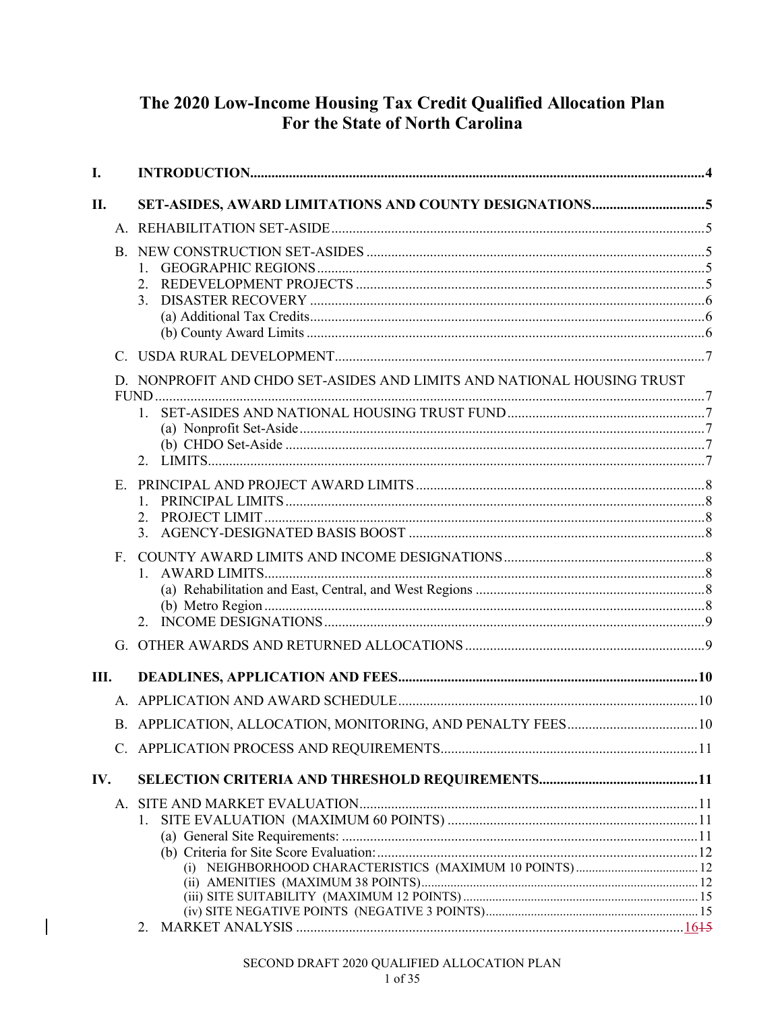# The 2020 Low-Income Housing Tax Credit Qualified Allocation Plan For the State of North Carolina

| L.  |             |                                                                                   |  |
|-----|-------------|-----------------------------------------------------------------------------------|--|
| II. |             |                                                                                   |  |
|     |             |                                                                                   |  |
|     |             | $1_{\cdots}$<br>2.<br>3.                                                          |  |
|     |             |                                                                                   |  |
|     |             | D. NONPROFIT AND CHDO SET-ASIDES AND LIMITS AND NATIONAL HOUSING TRUST<br>$1_{-}$ |  |
|     | E.          | 1.<br>2.<br>3.                                                                    |  |
|     | $F_{\perp}$ | $1_{-}$                                                                           |  |
|     |             |                                                                                   |  |
| Ш.  |             |                                                                                   |  |
|     |             |                                                                                   |  |
|     |             |                                                                                   |  |
|     |             |                                                                                   |  |
| IV. |             |                                                                                   |  |
|     |             | 1.                                                                                |  |
|     |             |                                                                                   |  |

 $\overline{\phantom{a}}$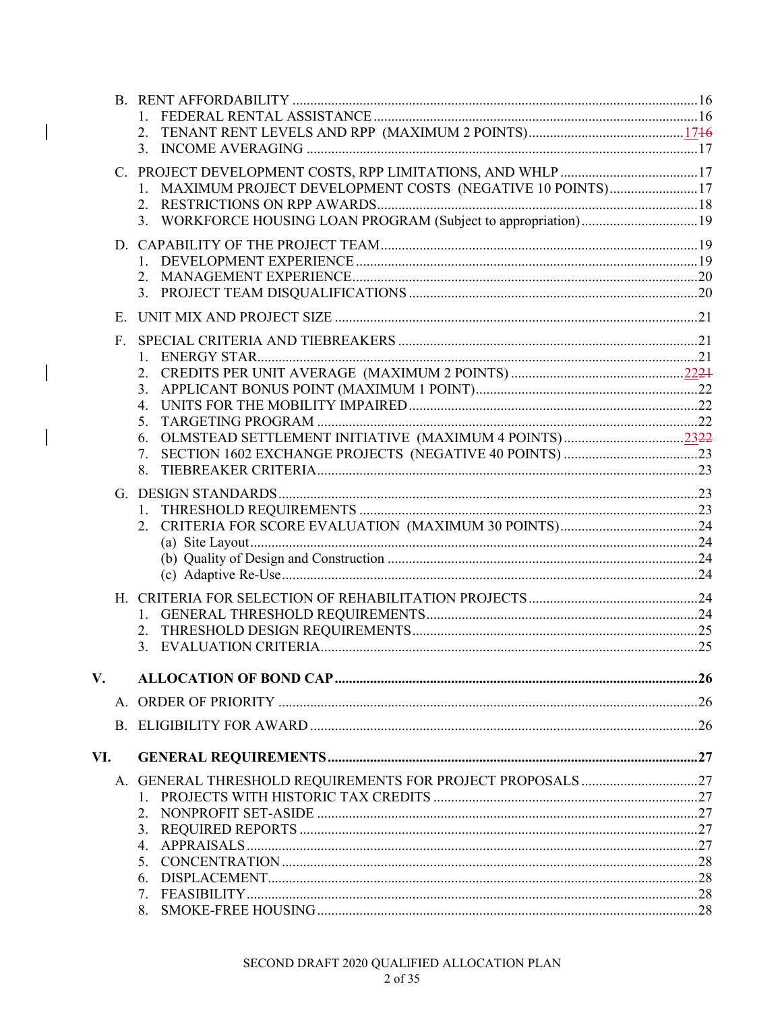|     |    | 2.                                                                  |  |
|-----|----|---------------------------------------------------------------------|--|
|     |    |                                                                     |  |
|     |    |                                                                     |  |
|     |    | MAXIMUM PROJECT DEVELOPMENT COSTS (NEGATIVE 10 POINTS)17<br>$1_{-}$ |  |
|     |    |                                                                     |  |
|     |    | 3. WORKFORCE HOUSING LOAN PROGRAM (Subject to appropriation)19      |  |
|     |    |                                                                     |  |
|     |    |                                                                     |  |
|     |    | 2.                                                                  |  |
|     |    |                                                                     |  |
|     |    |                                                                     |  |
|     | Е. |                                                                     |  |
|     | F. |                                                                     |  |
|     |    |                                                                     |  |
|     |    |                                                                     |  |
|     |    |                                                                     |  |
|     |    | 4.                                                                  |  |
|     |    | 5.                                                                  |  |
|     |    | 6.                                                                  |  |
|     |    | 7.                                                                  |  |
|     |    | 8.                                                                  |  |
|     |    |                                                                     |  |
|     |    |                                                                     |  |
|     |    |                                                                     |  |
|     |    |                                                                     |  |
|     |    |                                                                     |  |
|     |    |                                                                     |  |
|     |    |                                                                     |  |
|     |    |                                                                     |  |
|     |    |                                                                     |  |
|     |    | 3.                                                                  |  |
|     |    |                                                                     |  |
| V.  |    |                                                                     |  |
|     |    |                                                                     |  |
|     |    |                                                                     |  |
|     |    |                                                                     |  |
| VI. |    |                                                                     |  |
|     |    |                                                                     |  |
|     |    |                                                                     |  |
|     |    | 2.                                                                  |  |
|     |    |                                                                     |  |
|     |    | 4.                                                                  |  |
|     |    | 5.                                                                  |  |
|     |    | 6.                                                                  |  |
|     |    | 8.                                                                  |  |
|     |    |                                                                     |  |

 $\overline{\phantom{a}}$ 

 $\begin{array}{c} \hline \end{array}$ 

 $\overline{\phantom{a}}$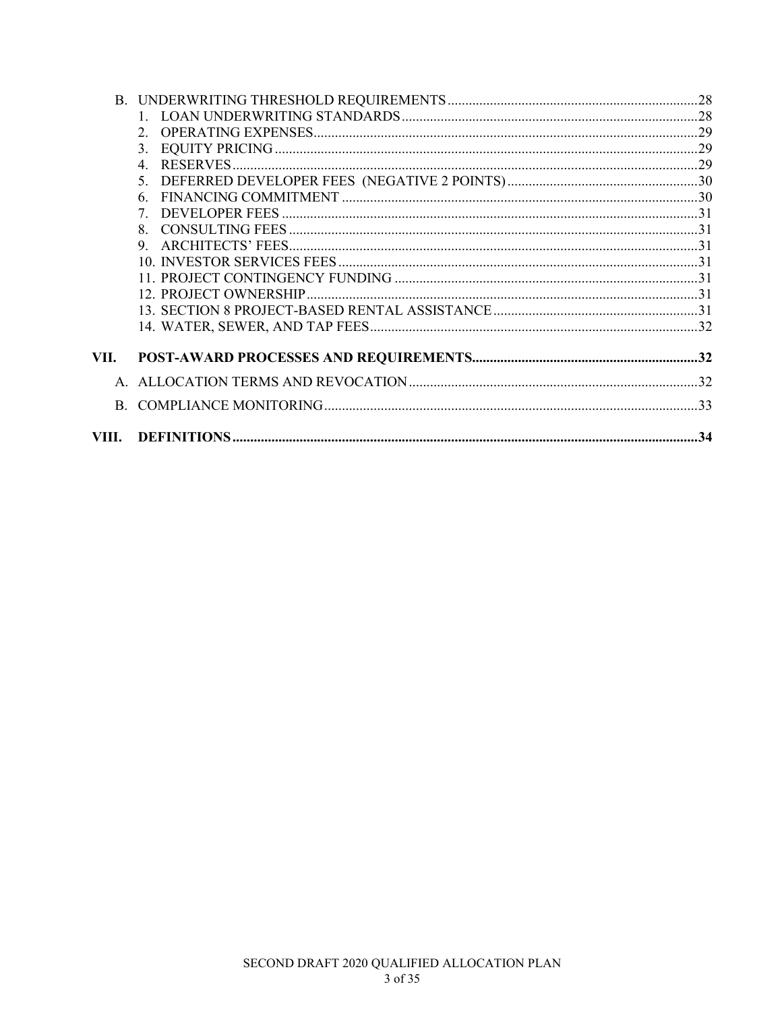|       | $\mathcal{D}$  |  |
|-------|----------------|--|
|       | 3.             |  |
|       | $\overline{4}$ |  |
|       | 5 <sub>1</sub> |  |
|       | 6.             |  |
|       | 7              |  |
|       | 8 <sub>1</sub> |  |
|       | 9.             |  |
|       |                |  |
|       |                |  |
|       |                |  |
|       |                |  |
|       |                |  |
| VII.  |                |  |
|       |                |  |
|       |                |  |
| VIII. |                |  |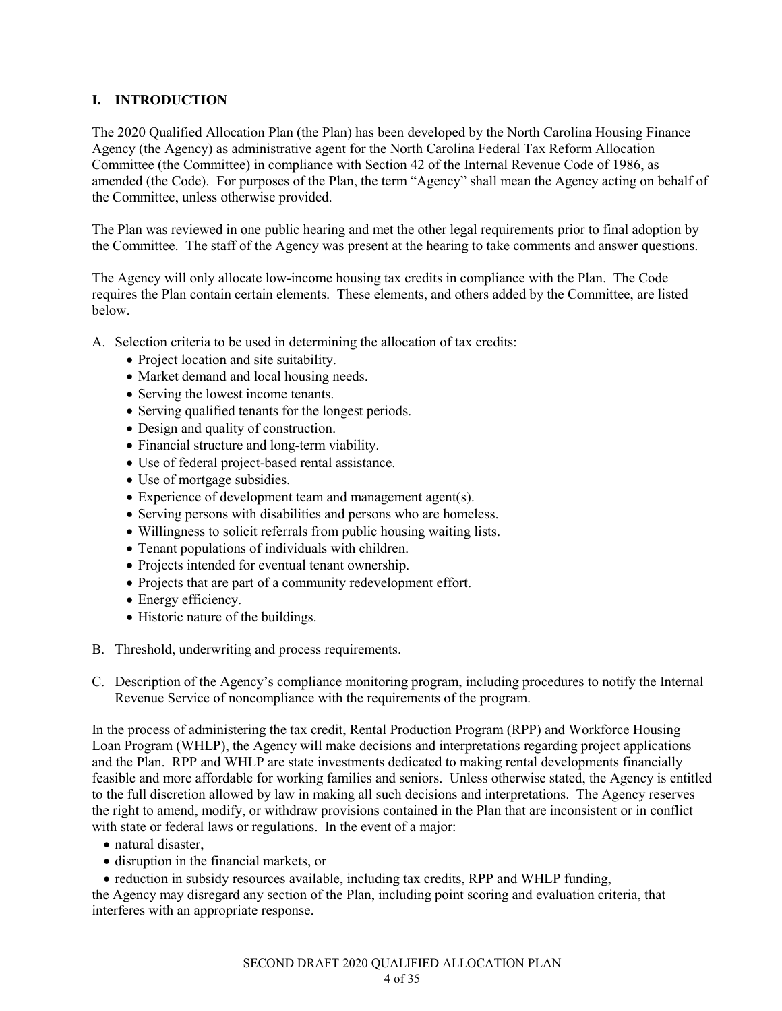# **I. INTRODUCTION**

The 2020 Qualified Allocation Plan (the Plan) has been developed by the North Carolina Housing Finance Agency (the Agency) as administrative agent for the North Carolina Federal Tax Reform Allocation Committee (the Committee) in compliance with Section 42 of the Internal Revenue Code of 1986, as amended (the Code). For purposes of the Plan, the term "Agency" shall mean the Agency acting on behalf of the Committee, unless otherwise provided.

The Plan was reviewed in one public hearing and met the other legal requirements prior to final adoption by the Committee. The staff of the Agency was present at the hearing to take comments and answer questions.

The Agency will only allocate low-income housing tax credits in compliance with the Plan. The Code requires the Plan contain certain elements. These elements, and others added by the Committee, are listed below.

A. Selection criteria to be used in determining the allocation of tax credits:

- Project location and site suitability.
- Market demand and local housing needs.
- Serving the lowest income tenants.
- Serving qualified tenants for the longest periods.
- Design and quality of construction.
- Financial structure and long-term viability.
- Use of federal project-based rental assistance.
- Use of mortgage subsidies.
- Experience of development team and management agent(s).
- Serving persons with disabilities and persons who are homeless.
- Willingness to solicit referrals from public housing waiting lists.
- Tenant populations of individuals with children.
- Projects intended for eventual tenant ownership.
- Projects that are part of a community redevelopment effort.
- Energy efficiency.
- Historic nature of the buildings.
- B. Threshold, underwriting and process requirements.
- C. Description of the Agency's compliance monitoring program, including procedures to notify the Internal Revenue Service of noncompliance with the requirements of the program.

In the process of administering the tax credit, Rental Production Program (RPP) and Workforce Housing Loan Program (WHLP), the Agency will make decisions and interpretations regarding project applications and the Plan. RPP and WHLP are state investments dedicated to making rental developments financially feasible and more affordable for working families and seniors. Unless otherwise stated, the Agency is entitled to the full discretion allowed by law in making all such decisions and interpretations. The Agency reserves the right to amend, modify, or withdraw provisions contained in the Plan that are inconsistent or in conflict with state or federal laws or regulations. In the event of a major:

- natural disaster,
- disruption in the financial markets, or
- reduction in subsidy resources available, including tax credits, RPP and WHLP funding,

the Agency may disregard any section of the Plan, including point scoring and evaluation criteria, that interferes with an appropriate response.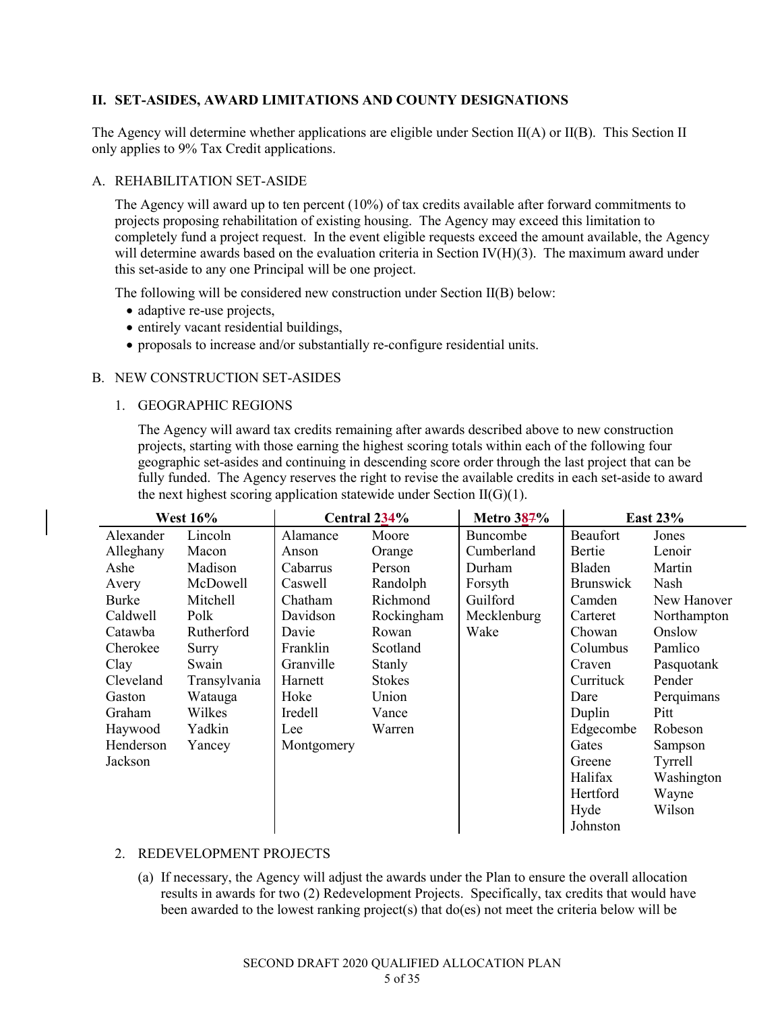# **II. SET-ASIDES, AWARD LIMITATIONS AND COUNTY DESIGNATIONS**

The Agency will determine whether applications are eligible under Section II(A) or II(B). This Section II only applies to 9% Tax Credit applications.

### A. REHABILITATION SET-ASIDE

The Agency will award up to ten percent (10%) of tax credits available after forward commitments to projects proposing rehabilitation of existing housing. The Agency may exceed this limitation to completely fund a project request. In the event eligible requests exceed the amount available, the Agency will determine awards based on the evaluation criteria in Section IV(H)(3). The maximum award under this set-aside to any one Principal will be one project.

The following will be considered new construction under Section II(B) below:

- adaptive re-use projects,
- entirely vacant residential buildings,
- proposals to increase and/or substantially re-configure residential units.

### B. NEW CONSTRUCTION SET-ASIDES

1. GEOGRAPHIC REGIONS

The Agency will award tax credits remaining after awards described above to new construction projects, starting with those earning the highest scoring totals within each of the following four geographic set-asides and continuing in descending score order through the last project that can be fully funded. The Agency reserves the right to revise the available credits in each set-aside to award the next highest scoring application statewide under Section  $II(G)(1)$ .

| <b>West 16%</b> |              | Central 234% |               | <b>Metro 387%</b> | <b>East 23%</b>  |             |
|-----------------|--------------|--------------|---------------|-------------------|------------------|-------------|
| Alexander       | Lincoln      | Alamance     | Moore         | Buncombe          | Beaufort         | Jones       |
| Alleghany       | Macon        | Anson        | Orange        | Cumberland        | Bertie           | Lenoir      |
| Ashe            | Madison      | Cabarrus     | Person        | Durham            | Bladen           | Martin      |
| Avery           | McDowell     | Caswell      | Randolph      | Forsyth           | <b>Brunswick</b> | Nash        |
| Burke           | Mitchell     | Chatham      | Richmond      | Guilford          | Camden           | New Hanover |
| Caldwell        | Polk         | Davidson     | Rockingham    | Mecklenburg       | Carteret         | Northampton |
| Catawba         | Rutherford   | Davie        | Rowan         | Wake              | Chowan           | Onslow      |
| Cherokee        | Surry        | Franklin     | Scotland      |                   | Columbus         | Pamlico     |
| Clay            | Swain        | Granville    | Stanly        |                   | Craven           | Pasquotank  |
| Cleveland       | Transylvania | Harnett      | <b>Stokes</b> |                   | Currituck        | Pender      |
| Gaston          | Watauga      | Hoke         | Union         |                   | Dare             | Perquimans  |
| Graham          | Wilkes       | Iredell      | Vance         |                   | Duplin           | Pitt        |
| Haywood         | Yadkin       | Lee          | Warren        |                   | Edgecombe        | Robeson     |
| Henderson       | Yancey       | Montgomery   |               |                   | Gates            | Sampson     |
| Jackson         |              |              |               |                   | Greene           | Tyrrell     |
|                 |              |              |               |                   | Halifax          | Washington  |
|                 |              |              |               |                   | Hertford         | Wayne       |
|                 |              |              |               |                   | Hyde             | Wilson      |
|                 |              |              |               |                   | Johnston         |             |

# 2. REDEVELOPMENT PROJECTS

(a) If necessary, the Agency will adjust the awards under the Plan to ensure the overall allocation results in awards for two (2) Redevelopment Projects. Specifically, tax credits that would have been awarded to the lowest ranking project(s) that do(es) not meet the criteria below will be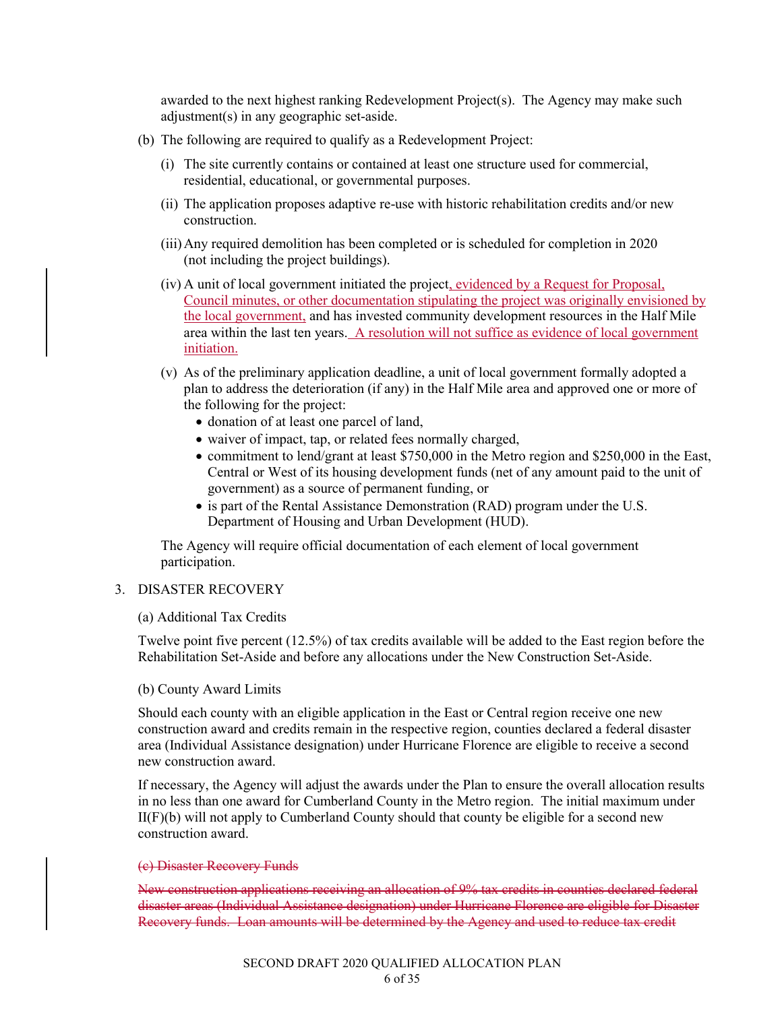awarded to the next highest ranking Redevelopment Project(s). The Agency may make such adjustment(s) in any geographic set-aside.

- (b) The following are required to qualify as a Redevelopment Project:
	- (i) The site currently contains or contained at least one structure used for commercial, residential, educational, or governmental purposes.
	- (ii) The application proposes adaptive re-use with historic rehabilitation credits and/or new construction.
	- (iii)Any required demolition has been completed or is scheduled for completion in 2020 (not including the project buildings).
	- (iv) A unit of local government initiated the project, evidenced by a Request for Proposal, Council minutes, or other documentation stipulating the project was originally envisioned by the local government, and has invested community development resources in the Half Mile area within the last ten years. A resolution will not suffice as evidence of local government initiation.
	- (v) As of the preliminary application deadline, a unit of local government formally adopted a plan to address the deterioration (if any) in the Half Mile area and approved one or more of the following for the project:
		- donation of at least one parcel of land,
		- waiver of impact, tap, or related fees normally charged,
		- commitment to lend/grant at least \$750,000 in the Metro region and \$250,000 in the East, Central or West of its housing development funds (net of any amount paid to the unit of government) as a source of permanent funding, or
		- is part of the Rental Assistance Demonstration (RAD) program under the U.S. Department of Housing and Urban Development (HUD).

The Agency will require official documentation of each element of local government participation.

### 3. DISASTER RECOVERY

#### (a) Additional Tax Credits

Twelve point five percent (12.5%) of tax credits available will be added to the East region before the Rehabilitation Set-Aside and before any allocations under the New Construction Set-Aside.

#### (b) County Award Limits

Should each county with an eligible application in the East or Central region receive one new construction award and credits remain in the respective region, counties declared a federal disaster area (Individual Assistance designation) under Hurricane Florence are eligible to receive a second new construction award.

If necessary, the Agency will adjust the awards under the Plan to ensure the overall allocation results in no less than one award for Cumberland County in the Metro region. The initial maximum under  $II(F)(b)$  will not apply to Cumberland County should that county be eligible for a second new construction award.

#### (c) Disaster Recovery Funds

New construction applications receiving an allocation of 9% tax credits in counties declared federal disaster areas (Individual Assistance designation) under Hurricane Florence are eligible for Disaster Recovery funds. Loan amounts will be determined by the Agency and used to reduce tax credit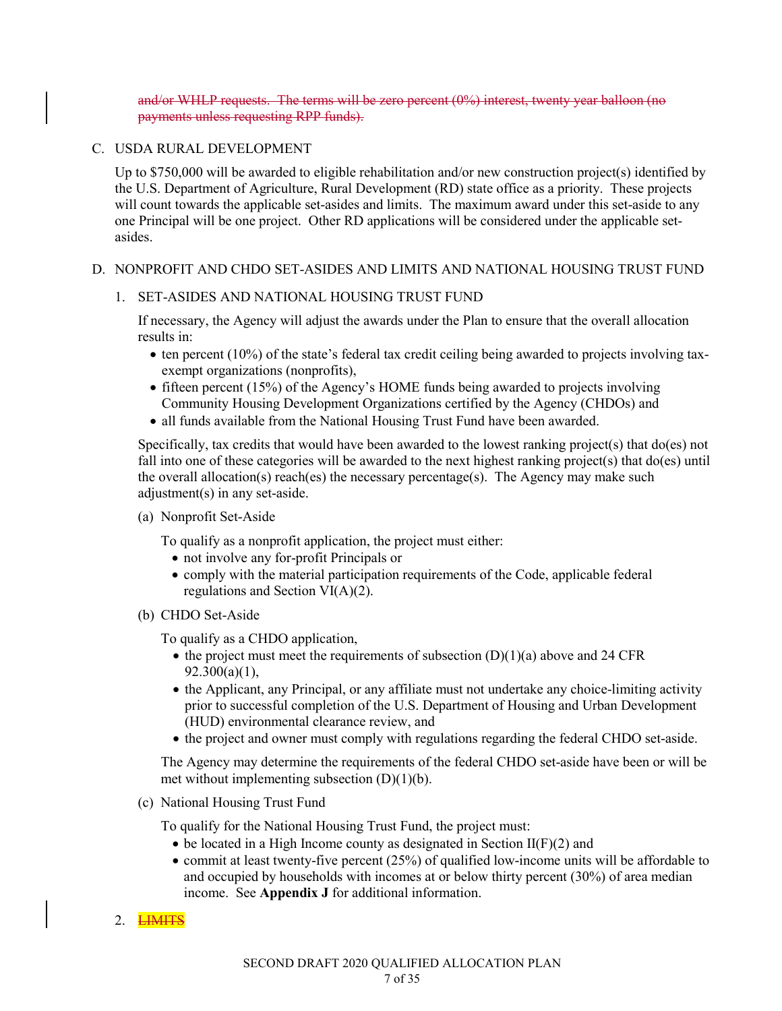and/or WHLP requests. The terms will be zero percent (0%) interest, twenty year balloon (no payments unless requesting RPP funds).

### C. USDA RURAL DEVELOPMENT

Up to \$750,000 will be awarded to eligible rehabilitation and/or new construction project(s) identified by the U.S. Department of Agriculture, Rural Development (RD) state office as a priority. These projects will count towards the applicable set-asides and limits. The maximum award under this set-aside to any one Principal will be one project. Other RD applications will be considered under the applicable setasides.

### D. NONPROFIT AND CHDO SET-ASIDES AND LIMITS AND NATIONAL HOUSING TRUST FUND

### 1. SET-ASIDES AND NATIONAL HOUSING TRUST FUND

If necessary, the Agency will adjust the awards under the Plan to ensure that the overall allocation results in:

- $\bullet$  ten percent (10%) of the state's federal tax credit ceiling being awarded to projects involving taxexempt organizations (nonprofits),
- fifteen percent (15%) of the Agency's HOME funds being awarded to projects involving Community Housing Development Organizations certified by the Agency (CHDOs) and
- all funds available from the National Housing Trust Fund have been awarded.

Specifically, tax credits that would have been awarded to the lowest ranking project(s) that do(es) not fall into one of these categories will be awarded to the next highest ranking project(s) that do(es) until the overall allocation(s) reach(es) the necessary percentage(s). The Agency may make such adjustment(s) in any set-aside.

(a) Nonprofit Set-Aside

To qualify as a nonprofit application, the project must either:

- not involve any for-profit Principals or
- comply with the material participation requirements of the Code, applicable federal regulations and Section VI(A)(2).
- (b) CHDO Set-Aside

To qualify as a CHDO application,

- the project must meet the requirements of subsection  $(D)(1)(a)$  above and 24 CFR 92.300(a)(1),
- the Applicant, any Principal, or any affiliate must not undertake any choice-limiting activity prior to successful completion of the U.S. Department of Housing and Urban Development (HUD) environmental clearance review, and
- the project and owner must comply with regulations regarding the federal CHDO set-aside.

The Agency may determine the requirements of the federal CHDO set-aside have been or will be met without implementing subsection  $(D)(1)(b)$ .

(c) National Housing Trust Fund

To qualify for the National Housing Trust Fund, the project must:

- $\bullet$  be located in a High Income county as designated in Section II(F)(2) and
- commit at least twenty-five percent (25%) of qualified low-income units will be affordable to and occupied by households with incomes at or below thirty percent (30%) of area median income. See **Appendix J** for additional information.

# 2. **LIMITS**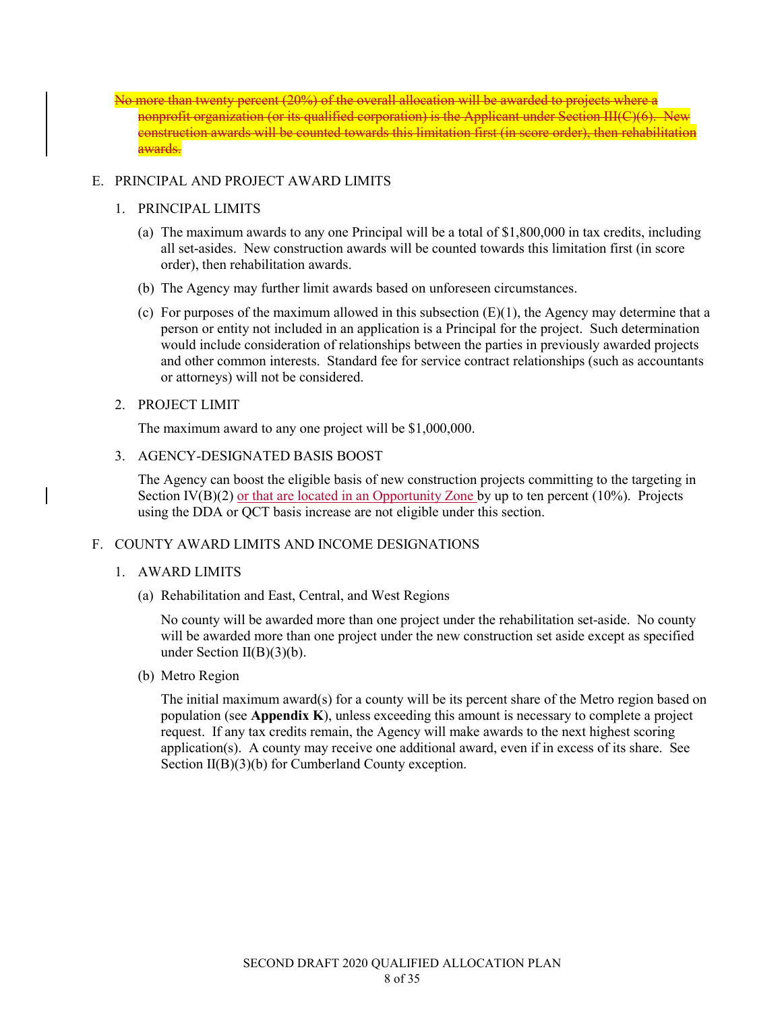No more than twenty percent (20%) of the overall allocation will be awarded to projects where a nonprofit organization (or its qualified corporation) is the Applicant under Section III(C)(6). New construction awards will be counted towards this limitation first (in score order), then rehabilitation awards.

### E. PRINCIPAL AND PROJECT AWARD LIMITS

#### 1. PRINCIPAL LIMITS

- (a) The maximum awards to any one Principal will be a total of \$1,800,000 in tax credits, including all set-asides. New construction awards will be counted towards this limitation first (in score order), then rehabilitation awards.
- (b) The Agency may further limit awards based on unforeseen circumstances.
- (c) For purposes of the maximum allowed in this subsection  $(E)(1)$ , the Agency may determine that a person or entity not included in an application is a Principal for the project. Such determination would include consideration of relationships between the parties in previously awarded projects and other common interests. Standard fee for service contract relationships (such as accountants or attorneys) will not be considered.

### 2. PROJECT LIMIT

The maximum award to any one project will be \$1,000,000.

3. AGENCY-DESIGNATED BASIS BOOST

The Agency can boost the eligible basis of new construction projects committing to the targeting in Section  $\Gamma(\text{B})(2)$  or that are located in an Opportunity Zone by up to ten percent (10%). Projects using the DDA or QCT basis increase are not eligible under this section.

# F. COUNTY AWARD LIMITS AND INCOME DESIGNATIONS

# 1. AWARD LIMITS

(a) Rehabilitation and East, Central, and West Regions

No county will be awarded more than one project under the rehabilitation set-aside. No county will be awarded more than one project under the new construction set aside except as specified under Section  $II(B)(3)(b)$ .

(b) Metro Region

The initial maximum award(s) for a county will be its percent share of the Metro region based on population (see **Appendix K**), unless exceeding this amount is necessary to complete a project request. If any tax credits remain, the Agency will make awards to the next highest scoring application(s). A county may receive one additional award, even if in excess of its share. See Section II(B)(3)(b) for Cumberland County exception.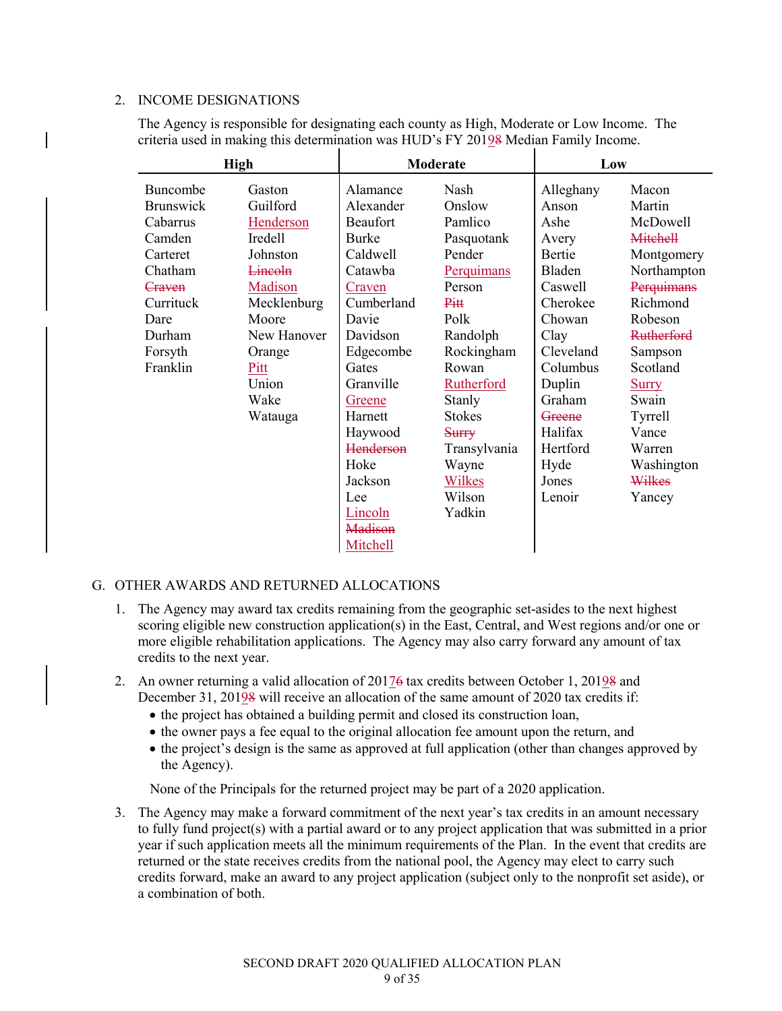#### 2. INCOME DESIGNATIONS

The Agency is responsible for designating each county as High, Moderate or Low Income. The criteria used in making this determination was HUD's FY 20198 Median Family Income.

| <b>High</b>      |                |              | Moderate          | Low       |                   |
|------------------|----------------|--------------|-------------------|-----------|-------------------|
| Buncombe         | Gaston         | Alamance     | Nash              | Alleghany | Macon             |
| <b>Brunswick</b> | Guilford       | Alexander    | Onslow            | Anson     | Martin            |
| Cabarrus         | Henderson      | Beaufort     | Pamlico           | Ashe      | McDowell          |
| Camden           | Iredell        | <b>Burke</b> | Pasquotank        | Avery     | <b>Mitchell</b>   |
| Carteret         | Johnston       | Caldwell     | Pender            | Bertie    | Montgomery        |
| Chatham          | <b>Lincoln</b> | Catawba      | Perquimans        | Bladen    | Northampton       |
| Craven           | Madison        | Craven       | Person            | Caswell   | Perquimans        |
| Currituck        | Mecklenburg    | Cumberland   | Pitt              | Cherokee  | Richmond          |
| Dare             | Moore          | Davie        | Polk              | Chowan    | Robeson           |
| Durham           | New Hanover    | Davidson     | Randolph          | Clay      | <b>Rutherford</b> |
| Forsyth          | Orange         | Edgecombe    | Rockingham        | Cleveland | Sampson           |
| Franklin         | Pitt           | Gates        | Rowan             | Columbus  | Scotland          |
|                  | Union          | Granville    | <b>Rutherford</b> | Duplin    | <b>Surry</b>      |
|                  | Wake           | Greene       | Stanly            | Graham    | Swain             |
|                  | Watauga        | Harnett      | <b>Stokes</b>     | Greene    | Tyrrell           |
|                  |                | Haywood      | Surry             | Halifax   | Vance             |
|                  |                | Henderson    | Transylvania      | Hertford  | Warren            |
|                  |                | Hoke         | Wayne             | Hyde      | Washington        |
|                  |                | Jackson      | Wilkes            | Jones     | Wilkes            |
|                  |                | Lee          | Wilson            | Lenoir    | Yancey            |
|                  |                | Lincoln      | Yadkin            |           |                   |
|                  |                | Madison      |                   |           |                   |
|                  |                | Mitchell     |                   |           |                   |

#### G. OTHER AWARDS AND RETURNED ALLOCATIONS

- 1. The Agency may award tax credits remaining from the geographic set-asides to the next highest scoring eligible new construction application(s) in the East, Central, and West regions and/or one or more eligible rehabilitation applications. The Agency may also carry forward any amount of tax credits to the next year.
- 2. An owner returning a valid allocation of 20176 tax credits between October 1, 20198 and December 31, 20198 will receive an allocation of the same amount of 2020 tax credits if:
	- the project has obtained a building permit and closed its construction loan,
	- the owner pays a fee equal to the original allocation fee amount upon the return, and
	- the project's design is the same as approved at full application (other than changes approved by the Agency).

None of the Principals for the returned project may be part of a 2020 application.

3. The Agency may make a forward commitment of the next year's tax credits in an amount necessary to fully fund project(s) with a partial award or to any project application that was submitted in a prior year if such application meets all the minimum requirements of the Plan. In the event that credits are returned or the state receives credits from the national pool, the Agency may elect to carry such credits forward, make an award to any project application (subject only to the nonprofit set aside), or a combination of both.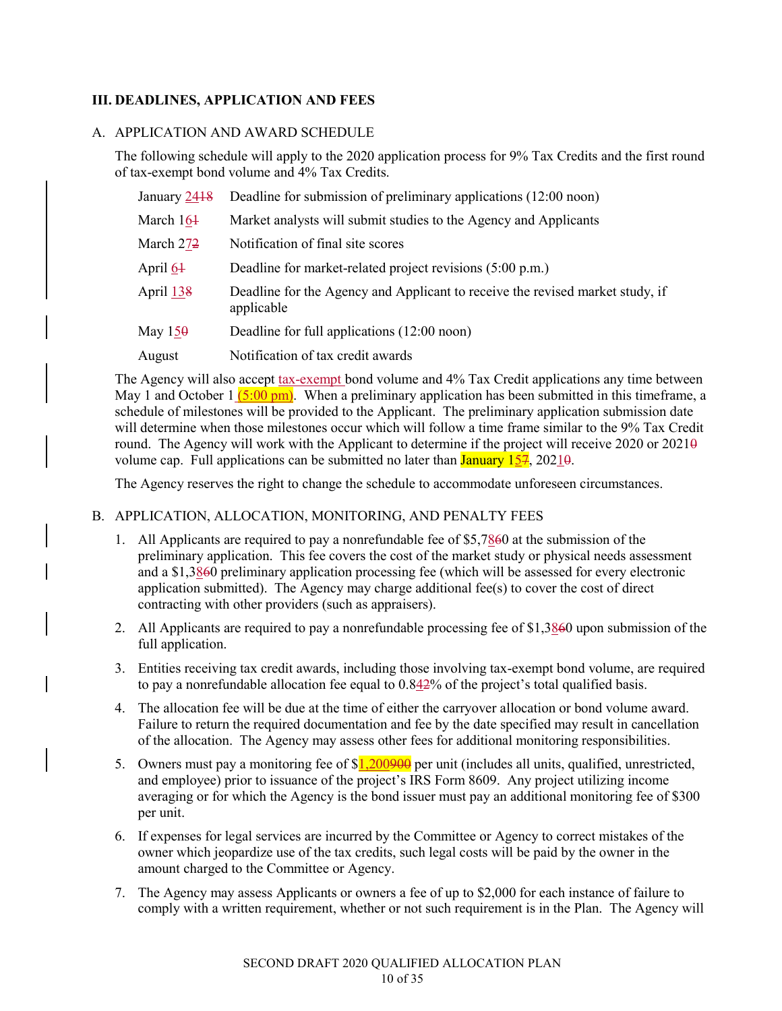# **III. DEADLINES, APPLICATION AND FEES**

### A. APPLICATION AND AWARD SCHEDULE

The following schedule will apply to the 2020 application process for 9% Tax Credits and the first round of tax-exempt bond volume and 4% Tax Credits.

| January 2418          | Deadline for submission of preliminary applications (12:00 noon)                            |
|-----------------------|---------------------------------------------------------------------------------------------|
| March 164             | Market analysts will submit studies to the Agency and Applicants                            |
| March 27 <del>2</del> | Notification of final site scores                                                           |
| April 64              | Deadline for market-related project revisions (5:00 p.m.)                                   |
| April 138             | Deadline for the Agency and Applicant to receive the revised market study, if<br>applicable |
| May $150$             | Deadline for full applications (12:00 noon)                                                 |
| August                | Notification of tax credit awards                                                           |

The Agency will also accept tax-exempt bond volume and 4% Tax Credit applications any time between May 1 and October 1  $(5.00 \text{ pm})$ . When a preliminary application has been submitted in this timeframe, a schedule of milestones will be provided to the Applicant. The preliminary application submission date will determine when those milestones occur which will follow a time frame similar to the 9% Tax Credit round. The Agency will work with the Applicant to determine if the project will receive 2020 or  $2021\theta$ volume cap. Full applications can be submitted no later than  $J_{\text{anuary}}$  157, 20210.

The Agency reserves the right to change the schedule to accommodate unforeseen circumstances.

# B. APPLICATION, ALLOCATION, MONITORING, AND PENALTY FEES

- 1. All Applicants are required to pay a nonrefundable fee of \$5,7860 at the submission of the preliminary application. This fee covers the cost of the market study or physical needs assessment and a \$1,3860 preliminary application processing fee (which will be assessed for every electronic application submitted). The Agency may charge additional fee(s) to cover the cost of direct contracting with other providers (such as appraisers).
- 2. All Applicants are required to pay a nonrefundable processing fee of \$1,3860 upon submission of the full application.
- 3. Entities receiving tax credit awards, including those involving tax-exempt bond volume, are required to pay a nonrefundable allocation fee equal to 0.842% of the project's total qualified basis.
- 4. The allocation fee will be due at the time of either the carryover allocation or bond volume award. Failure to return the required documentation and fee by the date specified may result in cancellation of the allocation. The Agency may assess other fees for additional monitoring responsibilities.
- 5. Owners must pay a monitoring fee of  $1,200900$  per unit (includes all units, qualified, unrestricted, and employee) prior to issuance of the project's IRS Form 8609. Any project utilizing income averaging or for which the Agency is the bond issuer must pay an additional monitoring fee of \$300 per unit.
- 6. If expenses for legal services are incurred by the Committee or Agency to correct mistakes of the owner which jeopardize use of the tax credits, such legal costs will be paid by the owner in the amount charged to the Committee or Agency.
- 7. The Agency may assess Applicants or owners a fee of up to \$2,000 for each instance of failure to comply with a written requirement, whether or not such requirement is in the Plan. The Agency will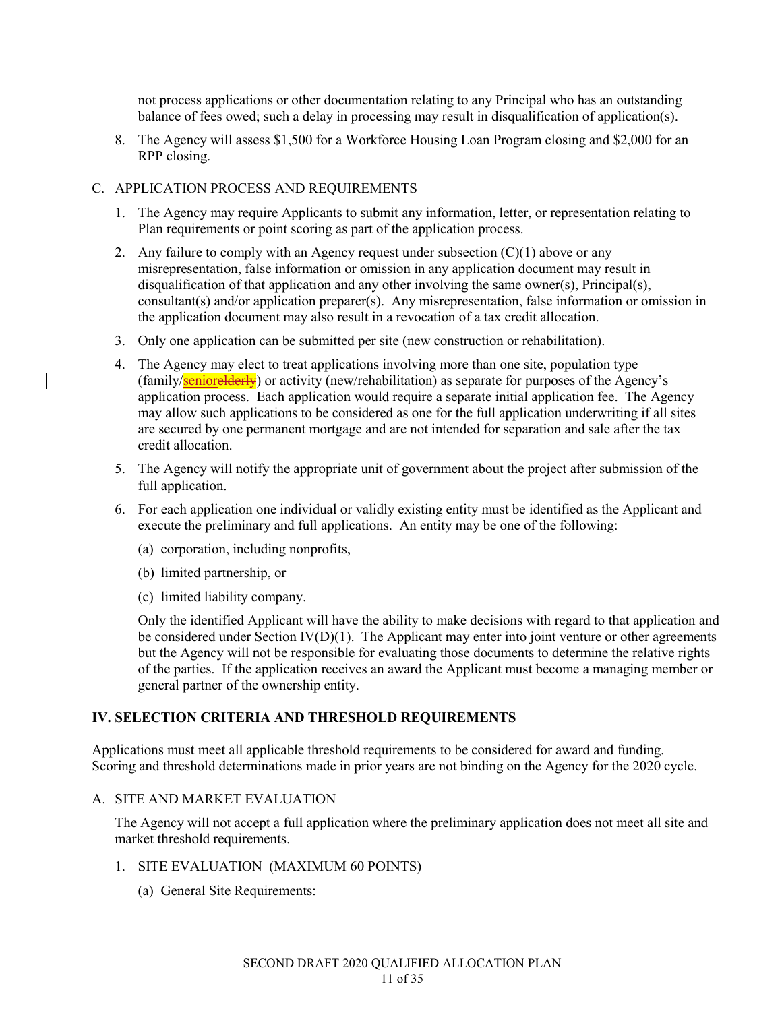not process applications or other documentation relating to any Principal who has an outstanding balance of fees owed; such a delay in processing may result in disqualification of application(s).

8. The Agency will assess \$1,500 for a Workforce Housing Loan Program closing and \$2,000 for an RPP closing.

### C. APPLICATION PROCESS AND REQUIREMENTS

- 1. The Agency may require Applicants to submit any information, letter, or representation relating to Plan requirements or point scoring as part of the application process.
- 2. Any failure to comply with an Agency request under subsection  $(C)(1)$  above or any misrepresentation, false information or omission in any application document may result in disqualification of that application and any other involving the same owner(s), Principal(s), consultant(s) and/or application preparer(s). Any misrepresentation, false information or omission in the application document may also result in a revocation of a tax credit allocation.
- 3. Only one application can be submitted per site (new construction or rehabilitation).
- 4. The Agency may elect to treat applications involving more than one site, population type (family/seniorelderly) or activity (new/rehabilitation) as separate for purposes of the Agency's application process. Each application would require a separate initial application fee. The Agency may allow such applications to be considered as one for the full application underwriting if all sites are secured by one permanent mortgage and are not intended for separation and sale after the tax credit allocation.
- 5. The Agency will notify the appropriate unit of government about the project after submission of the full application.
- 6. For each application one individual or validly existing entity must be identified as the Applicant and execute the preliminary and full applications. An entity may be one of the following:
	- (a) corporation, including nonprofits,
	- (b) limited partnership, or
	- (c) limited liability company.

Only the identified Applicant will have the ability to make decisions with regard to that application and be considered under Section  $\text{IV}(D)(1)$ . The Applicant may enter into joint venture or other agreements but the Agency will not be responsible for evaluating those documents to determine the relative rights of the parties. If the application receives an award the Applicant must become a managing member or general partner of the ownership entity.

# **IV. SELECTION CRITERIA AND THRESHOLD REQUIREMENTS**

Applications must meet all applicable threshold requirements to be considered for award and funding. Scoring and threshold determinations made in prior years are not binding on the Agency for the 2020 cycle.

#### A. SITE AND MARKET EVALUATION

The Agency will not accept a full application where the preliminary application does not meet all site and market threshold requirements.

#### 1. SITE EVALUATION (MAXIMUM 60 POINTS)

(a) General Site Requirements: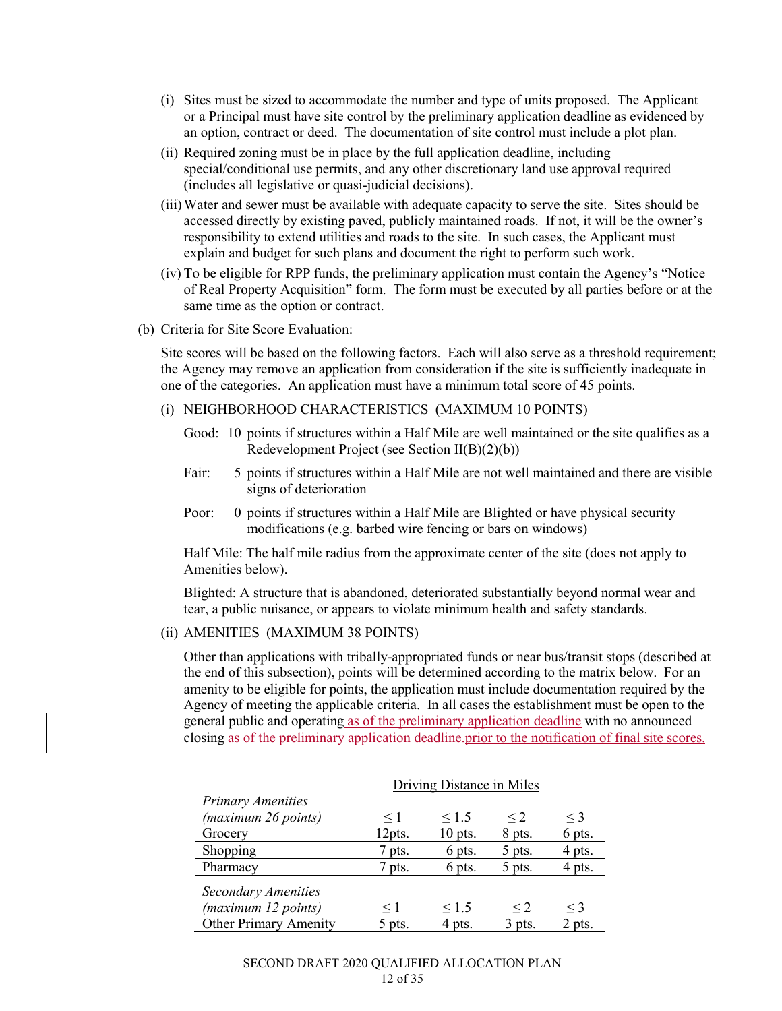- (i) Sites must be sized to accommodate the number and type of units proposed. The Applicant or a Principal must have site control by the preliminary application deadline as evidenced by an option, contract or deed. The documentation of site control must include a plot plan.
- (ii) Required zoning must be in place by the full application deadline, including special/conditional use permits, and any other discretionary land use approval required (includes all legislative or quasi-judicial decisions).
- (iii)Water and sewer must be available with adequate capacity to serve the site. Sites should be accessed directly by existing paved, publicly maintained roads. If not, it will be the owner's responsibility to extend utilities and roads to the site. In such cases, the Applicant must explain and budget for such plans and document the right to perform such work.
- (iv) To be eligible for RPP funds, the preliminary application must contain the Agency's "Notice of Real Property Acquisition" form. The form must be executed by all parties before or at the same time as the option or contract.
- (b) Criteria for Site Score Evaluation:

Site scores will be based on the following factors. Each will also serve as a threshold requirement; the Agency may remove an application from consideration if the site is sufficiently inadequate in one of the categories. An application must have a minimum total score of 45 points.

- (i) NEIGHBORHOOD CHARACTERISTICS (MAXIMUM 10 POINTS)
	- Good: 10 points if structures within a Half Mile are well maintained or the site qualifies as a Redevelopment Project (see Section II(B)(2)(b))
	- Fair: 5 points if structures within a Half Mile are not well maintained and there are visible signs of deterioration
	- Poor: 0 points if structures within a Half Mile are Blighted or have physical security modifications (e.g. barbed wire fencing or bars on windows)

Half Mile: The half mile radius from the approximate center of the site (does not apply to Amenities below).

Blighted: A structure that is abandoned, deteriorated substantially beyond normal wear and tear, a public nuisance, or appears to violate minimum health and safety standards.

#### (ii) AMENITIES (MAXIMUM 38 POINTS)

Other than applications with tribally-appropriated funds or near bus/transit stops (described at the end of this subsection), points will be determined according to the matrix below. For an amenity to be eligible for points, the application must include documentation required by the Agency of meeting the applicable criteria. In all cases the establishment must be open to the general public and operating as of the preliminary application deadline with no announced closing as of the preliminary application deadline.prior to the notification of final site scores.

|                              | <b>Driving Distance in Miles</b> |            |          |          |
|------------------------------|----------------------------------|------------|----------|----------|
| <b>Primary Amenities</b>     |                                  |            |          |          |
| (maximum 26 points)          | $\leq 1$                         | $\leq 1.5$ | $\leq$ 2 | $\leq$ 3 |
| Grocery                      | 12pts.                           | $10$ pts.  | 8 pts.   | 6 pts.   |
| Shopping                     | 7 pts.                           | 6 pts.     | 5 pts.   | 4 pts.   |
| Pharmacy                     | 7 pts.                           | 6 pts.     | 5 pts.   | 4 pts.   |
| Secondary Amenities          |                                  |            |          |          |
| (maximum 12 points)          | $\leq 1$                         | $\leq 1.5$ | $\leq$ 2 | $\leq$ 3 |
| <b>Other Primary Amenity</b> | 5 pts.                           | 4 pts.     | $3$ pts. | 2 pts.   |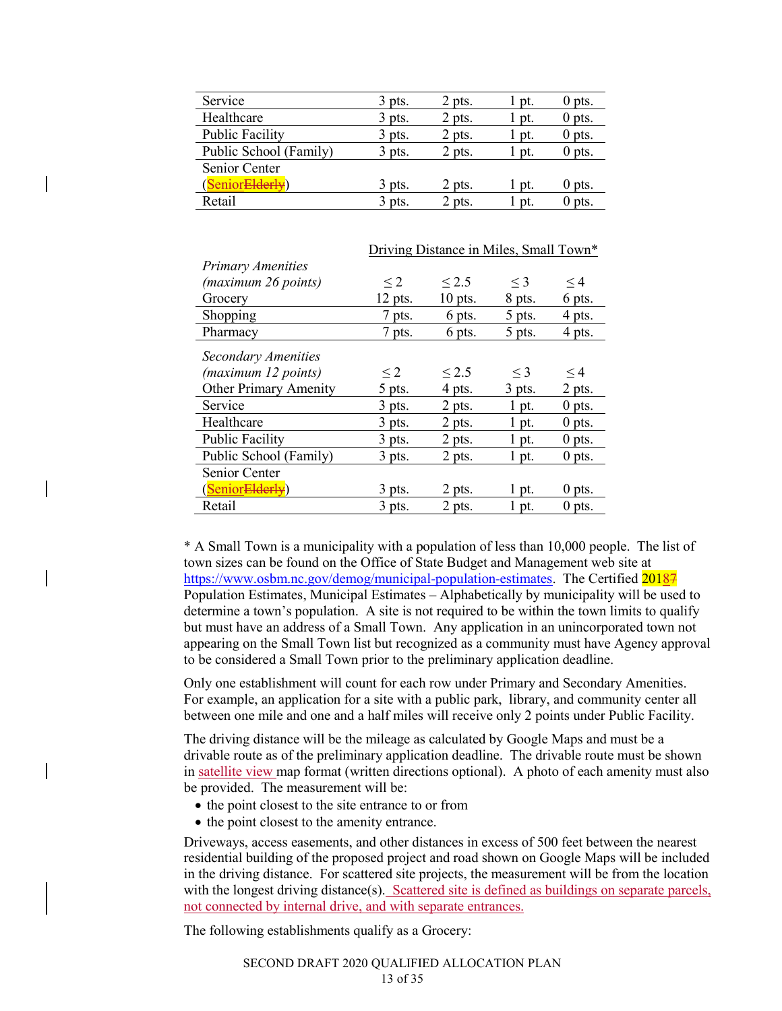| $3$ pts. | 2 pts. | pt.   | $0$ pts. |
|----------|--------|-------|----------|
| $3$ pts. | 2 pts. | pt.   | $0$ pts. |
| $3$ pts. | 2 pts. | l pt. | $0$ pts. |
| $3$ pts. | 2 pts. | l pt. | $0$ pts. |
|          |        |       |          |
| $3$ pts. | 2 pts. | l pt. | $0$ pts. |
| $3$ pts. | 2 pts. | pt.   | $0$ pts. |
|          |        |       |          |

|                              | Driving Distance in Miles, Small Town* |            |          |          |
|------------------------------|----------------------------------------|------------|----------|----------|
| <b>Primary Amenities</b>     |                                        |            |          |          |
| (maximum 26 points)          | $\leq$ 2                               | $\leq$ 2.5 | $\leq$ 3 | $\leq$ 4 |
| Grocery                      | $12$ pts.                              | $10$ pts.  | 8 pts.   | 6 pts.   |
| Shopping                     | 7 pts.                                 | 6 pts.     | 5 pts.   | 4 pts.   |
| Pharmacy                     | 7 pts.                                 | 6 pts.     | 5 pts.   | 4 pts.   |
| Secondary Amenities          |                                        |            |          |          |
| (maximum 12 points)          | $\leq$ 2                               | $\leq$ 2.5 | $\leq$ 3 | $\leq$ 4 |
| <b>Other Primary Amenity</b> | 5 pts.                                 | 4 pts.     | $3$ pts. | 2 pts.   |
| Service                      | $3$ pts.                               | $2$ pts.   | 1 pt.    | $0$ pts. |
| Healthcare                   | 3 pts.                                 | 2 pts.     | 1 pt.    | $0$ pts. |
| <b>Public Facility</b>       | $3$ pts.                               | 2 pts.     | $1$ pt.  | $0$ pts. |
| Public School (Family)       | $3$ pts.                               | 2 pts.     | 1 pt.    | $0$ pts. |
| Senior Center                |                                        |            |          |          |
| (SeniorElderly)              | 3 pts.                                 | 2 pts.     | 1 pt.    | $0$ pts. |
| Retail                       | $3$ pts.                               | 2 pts.     | 1 pt.    | $0$ pts. |

\* A Small Town is a municipality with a population of less than 10,000 people. The list of town sizes can be found on the Office of State Budget and Management web site at https://www.osbm.nc.gov/demog/municipal-population-estimates. The Certified 20187 Population Estimates, Municipal Estimates – Alphabetically by municipality will be used to determine a town's population. A site is not required to be within the town limits to qualify but must have an address of a Small Town. Any application in an unincorporated town not appearing on the Small Town list but recognized as a community must have Agency approval to be considered a Small Town prior to the preliminary application deadline.

Only one establishment will count for each row under Primary and Secondary Amenities. For example, an application for a site with a public park, library, and community center all between one mile and one and a half miles will receive only 2 points under Public Facility.

The driving distance will be the mileage as calculated by Google Maps and must be a drivable route as of the preliminary application deadline. The drivable route must be shown in satellite view map format (written directions optional). A photo of each amenity must also be provided. The measurement will be:

- the point closest to the site entrance to or from
- the point closest to the amenity entrance.

Driveways, access easements, and other distances in excess of 500 feet between the nearest residential building of the proposed project and road shown on Google Maps will be included in the driving distance. For scattered site projects, the measurement will be from the location with the longest driving distance(s). Scattered site is defined as buildings on separate parcels, not connected by internal drive, and with separate entrances.

The following establishments qualify as a Grocery: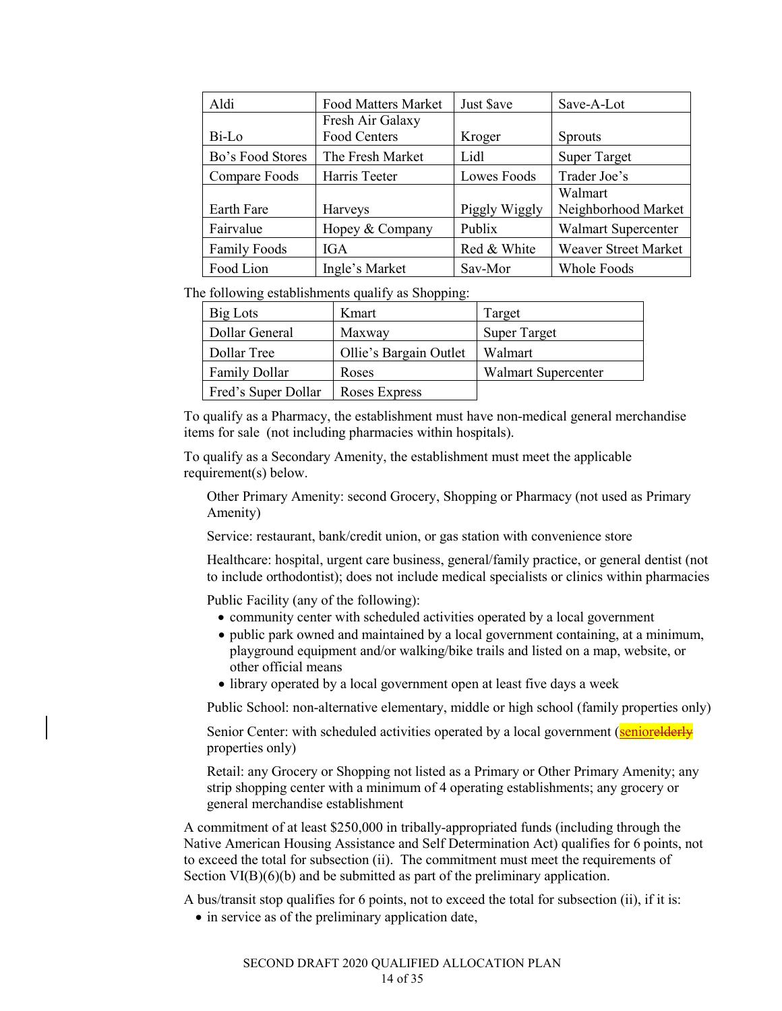| Aldi                | <b>Food Matters Market</b> | Just \$ave    | Save-A-Lot                  |
|---------------------|----------------------------|---------------|-----------------------------|
|                     | Fresh Air Galaxy           |               |                             |
| Bi-Lo               | Food Centers               | Kroger        | <b>Sprouts</b>              |
| Bo's Food Stores    | The Fresh Market           | Lidl          | <b>Super Target</b>         |
| Compare Foods       | Harris Teeter              | Lowes Foods   | Trader Joe's                |
|                     |                            |               | Walmart                     |
| Earth Fare          | Harveys                    | Piggly Wiggly | Neighborhood Market         |
| Fairvalue           | Hopey & Company            | Publix        | <b>Walmart Supercenter</b>  |
| <b>Family Foods</b> | <b>IGA</b>                 | Red & White   | <b>Weaver Street Market</b> |
| Food Lion           | Ingle's Market             | Sav-Mor       | Whole Foods                 |

The following establishments qualify as Shopping:

| Big Lots             | Kmart                  | Target                     |
|----------------------|------------------------|----------------------------|
| Dollar General       | Maxway                 | <b>Super Target</b>        |
| Dollar Tree          | Ollie's Bargain Outlet | Walmart                    |
| <b>Family Dollar</b> | Roses                  | <b>Walmart Supercenter</b> |
| Fred's Super Dollar  | Roses Express          |                            |

To qualify as a Pharmacy, the establishment must have non-medical general merchandise items for sale (not including pharmacies within hospitals).

To qualify as a Secondary Amenity, the establishment must meet the applicable requirement(s) below.

Other Primary Amenity: second Grocery, Shopping or Pharmacy (not used as Primary Amenity)

Service: restaurant, bank/credit union, or gas station with convenience store

Healthcare: hospital, urgent care business, general/family practice, or general dentist (not to include orthodontist); does not include medical specialists or clinics within pharmacies

Public Facility (any of the following):

- community center with scheduled activities operated by a local government
- public park owned and maintained by a local government containing, at a minimum, playground equipment and/or walking/bike trails and listed on a map, website, or other official means
- library operated by a local government open at least five days a week

Public School: non-alternative elementary, middle or high school (family properties only)

Senior Center: with scheduled activities operated by a local government (seniorelderly properties only)

Retail: any Grocery or Shopping not listed as a Primary or Other Primary Amenity; any strip shopping center with a minimum of 4 operating establishments; any grocery or general merchandise establishment

A commitment of at least \$250,000 in tribally-appropriated funds (including through the Native American Housing Assistance and Self Determination Act) qualifies for 6 points, not to exceed the total for subsection (ii). The commitment must meet the requirements of Section VI(B)(6)(b) and be submitted as part of the preliminary application.

A bus/transit stop qualifies for 6 points, not to exceed the total for subsection (ii), if it is:

• in service as of the preliminary application date,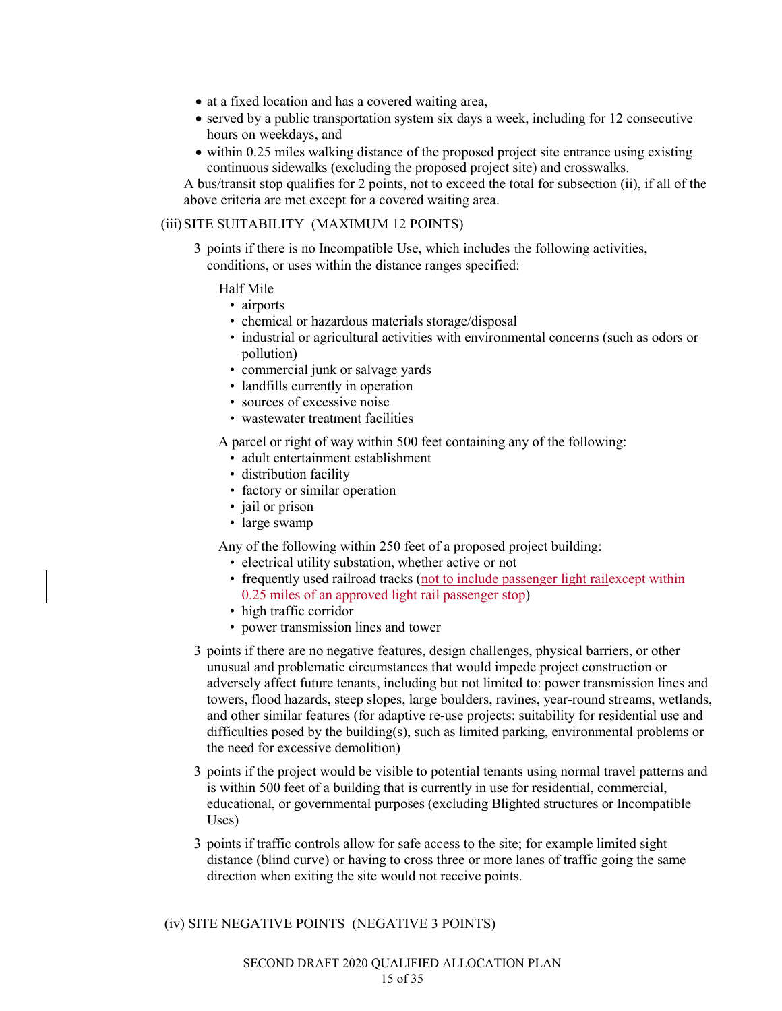- at a fixed location and has a covered waiting area,
- served by a public transportation system six days a week, including for 12 consecutive hours on weekdays, and
- within 0.25 miles walking distance of the proposed project site entrance using existing continuous sidewalks (excluding the proposed project site) and crosswalks.

A bus/transit stop qualifies for 2 points, not to exceed the total for subsection (ii), if all of the above criteria are met except for a covered waiting area.

#### (iii)SITE SUITABILITY (MAXIMUM 12 POINTS)

3 points if there is no Incompatible Use, which includes the following activities, conditions, or uses within the distance ranges specified:

#### Half Mile

- airports
- chemical or hazardous materials storage/disposal
- industrial or agricultural activities with environmental concerns (such as odors or pollution)
- commercial junk or salvage yards
- landfills currently in operation
- sources of excessive noise
- wastewater treatment facilities

A parcel or right of way within 500 feet containing any of the following:

- adult entertainment establishment
- distribution facility
- factory or similar operation
- jail or prison
- large swamp

Any of the following within 250 feet of a proposed project building:

- electrical utility substation, whether active or not
- frequently used railroad tracks (not to include passenger light railexerest within 0.25 miles of an approved light rail passenger stop)
- high traffic corridor
- power transmission lines and tower
- 3 points if there are no negative features, design challenges, physical barriers, or other unusual and problematic circumstances that would impede project construction or adversely affect future tenants, including but not limited to: power transmission lines and towers, flood hazards, steep slopes, large boulders, ravines, year-round streams, wetlands, and other similar features (for adaptive re-use projects: suitability for residential use and difficulties posed by the building(s), such as limited parking, environmental problems or the need for excessive demolition)
- 3 points if the project would be visible to potential tenants using normal travel patterns and is within 500 feet of a building that is currently in use for residential, commercial, educational, or governmental purposes (excluding Blighted structures or Incompatible Uses)
- 3 points if traffic controls allow for safe access to the site; for example limited sight distance (blind curve) or having to cross three or more lanes of traffic going the same direction when exiting the site would not receive points.

(iv) SITE NEGATIVE POINTS (NEGATIVE 3 POINTS)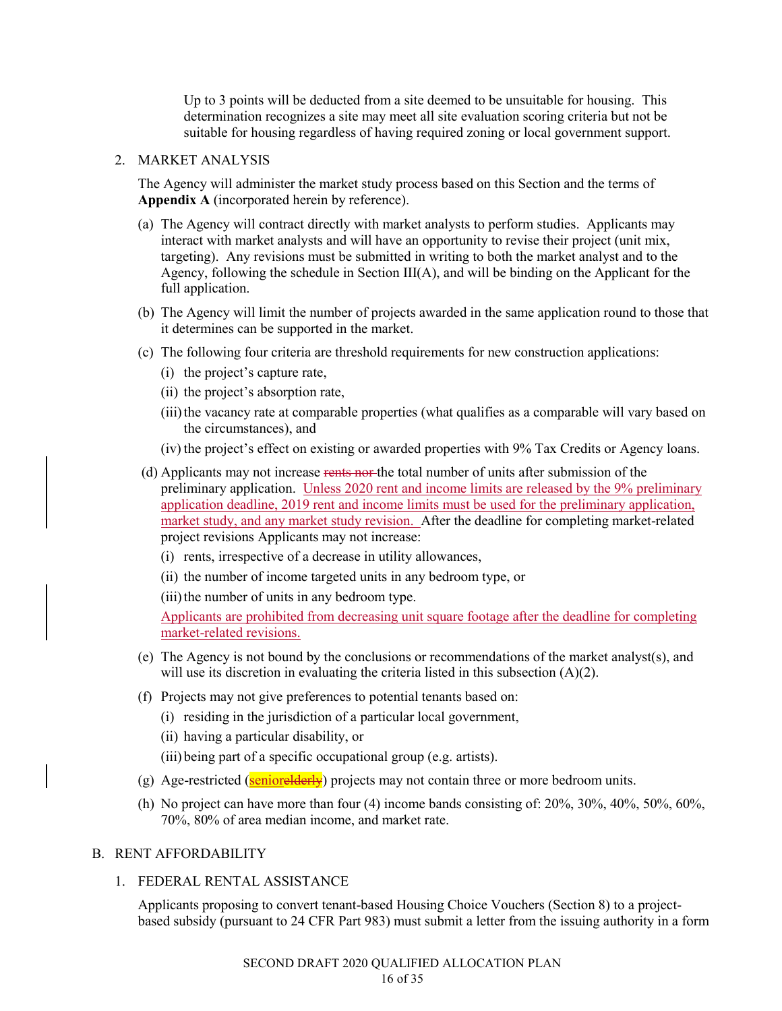Up to 3 points will be deducted from a site deemed to be unsuitable for housing. This determination recognizes a site may meet all site evaluation scoring criteria but not be suitable for housing regardless of having required zoning or local government support.

#### 2. MARKET ANALYSIS

The Agency will administer the market study process based on this Section and the terms of **Appendix A** (incorporated herein by reference).

- (a) The Agency will contract directly with market analysts to perform studies. Applicants may interact with market analysts and will have an opportunity to revise their project (unit mix, targeting). Any revisions must be submitted in writing to both the market analyst and to the Agency, following the schedule in Section III(A), and will be binding on the Applicant for the full application.
- (b) The Agency will limit the number of projects awarded in the same application round to those that it determines can be supported in the market.
- (c) The following four criteria are threshold requirements for new construction applications:
	- (i) the project's capture rate,
	- (ii) the project's absorption rate,
	- (iii) the vacancy rate at comparable properties (what qualifies as a comparable will vary based on the circumstances), and
	- (iv) the project's effect on existing or awarded properties with 9% Tax Credits or Agency loans.
- (d) Applicants may not increase rents nor the total number of units after submission of the preliminary application. Unless 2020 rent and income limits are released by the 9% preliminary application deadline, 2019 rent and income limits must be used for the preliminary application, market study, and any market study revision. After the deadline for completing market-related project revisions Applicants may not increase:
	- (i) rents, irrespective of a decrease in utility allowances,
	- (ii) the number of income targeted units in any bedroom type, or
	- (iii) the number of units in any bedroom type.

Applicants are prohibited from decreasing unit square footage after the deadline for completing market-related revisions.

- (e) The Agency is not bound by the conclusions or recommendations of the market analyst(s), and will use its discretion in evaluating the criteria listed in this subsection (A)(2).
- (f) Projects may not give preferences to potential tenants based on:
	- (i) residing in the jurisdiction of a particular local government,
	- (ii) having a particular disability, or
	- (iii) being part of a specific occupational group (e.g. artists).
- (g) Age-restricted (seniorelderly) projects may not contain three or more bedroom units.
- (h) No project can have more than four (4) income bands consisting of: 20%, 30%, 40%, 50%, 60%, 70%, 80% of area median income, and market rate.

#### B. RENT AFFORDABILITY

1. FEDERAL RENTAL ASSISTANCE

Applicants proposing to convert tenant-based Housing Choice Vouchers (Section 8) to a projectbased subsidy (pursuant to 24 CFR Part 983) must submit a letter from the issuing authority in a form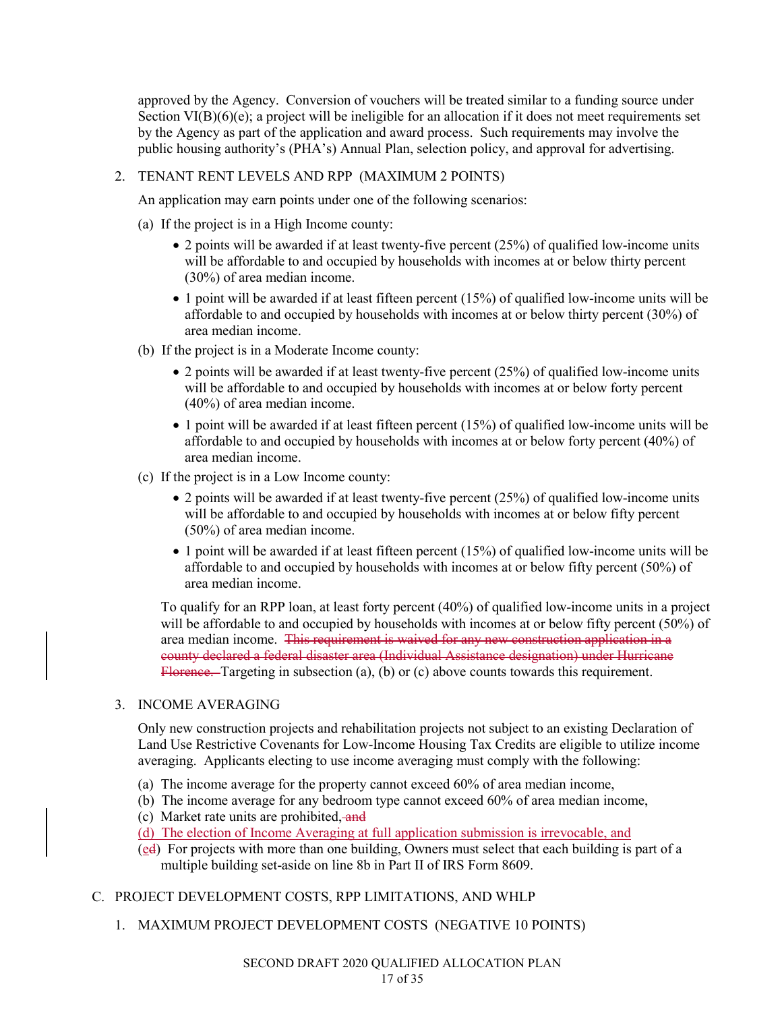approved by the Agency. Conversion of vouchers will be treated similar to a funding source under Section VI(B)(6)(e); a project will be ineligible for an allocation if it does not meet requirements set by the Agency as part of the application and award process. Such requirements may involve the public housing authority's (PHA's) Annual Plan, selection policy, and approval for advertising.

# 2. TENANT RENT LEVELS AND RPP (MAXIMUM 2 POINTS)

An application may earn points under one of the following scenarios:

- (a) If the project is in a High Income county:
	- 2 points will be awarded if at least twenty-five percent (25%) of qualified low-income units will be affordable to and occupied by households with incomes at or below thirty percent (30%) of area median income.
	- 1 point will be awarded if at least fifteen percent (15%) of qualified low-income units will be affordable to and occupied by households with incomes at or below thirty percent (30%) of area median income.
- (b) If the project is in a Moderate Income county:
	- 2 points will be awarded if at least twenty-five percent (25%) of qualified low-income units will be affordable to and occupied by households with incomes at or below forty percent (40%) of area median income.
	- 1 point will be awarded if at least fifteen percent (15%) of qualified low-income units will be affordable to and occupied by households with incomes at or below forty percent (40%) of area median income.
- (c) If the project is in a Low Income county:
	- 2 points will be awarded if at least twenty-five percent (25%) of qualified low-income units will be affordable to and occupied by households with incomes at or below fifty percent (50%) of area median income.
	- 1 point will be awarded if at least fifteen percent (15%) of qualified low-income units will be affordable to and occupied by households with incomes at or below fifty percent (50%) of area median income.

To qualify for an RPP loan, at least forty percent (40%) of qualified low-income units in a project will be affordable to and occupied by households with incomes at or below fifty percent (50%) of area median income. This requirement is waived for any new construction application in a county declared a federal disaster area (Individual Assistance designation) under Hurricane Florence. Targeting in subsection (a), (b) or (c) above counts towards this requirement.

# 3. INCOME AVERAGING

Only new construction projects and rehabilitation projects not subject to an existing Declaration of Land Use Restrictive Covenants for Low-Income Housing Tax Credits are eligible to utilize income averaging. Applicants electing to use income averaging must comply with the following:

- (a) The income average for the property cannot exceed 60% of area median income,
- (b) The income average for any bedroom type cannot exceed 60% of area median income,
- (c) Market rate units are prohibited, and
- (d) The election of Income Averaging at full application submission is irrevocable, and
- (ed) For projects with more than one building, Owners must select that each building is part of a multiple building set-aside on line 8b in Part II of IRS Form 8609.
- C. PROJECT DEVELOPMENT COSTS, RPP LIMITATIONS, AND WHLP
	- 1. MAXIMUM PROJECT DEVELOPMENT COSTS (NEGATIVE 10 POINTS)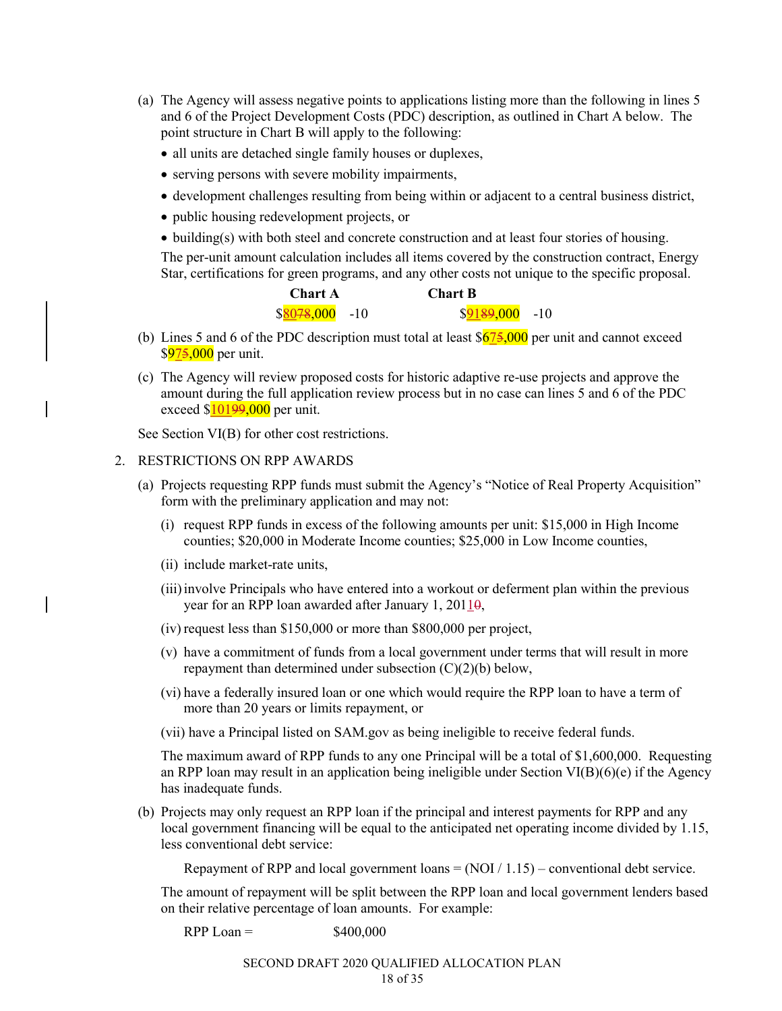- (a) The Agency will assess negative points to applications listing more than the following in lines 5 and 6 of the Project Development Costs (PDC) description, as outlined in Chart A below. The point structure in Chart B will apply to the following:
	- all units are detached single family houses or duplexes,
	- serving persons with severe mobility impairments,
	- development challenges resulting from being within or adjacent to a central business district,
	- public housing redevelopment projects, or
	- building(s) with both steel and concrete construction and at least four stories of housing.

The per-unit amount calculation includes all items covered by the construction contract, Energy Star, certifications for green programs, and any other costs not unique to the specific proposal.

| <b>Chart A</b>  | <b>Chart B</b>  |  |
|-----------------|-----------------|--|
| $$8078,000$ -10 | $$9189,000$ -10 |  |

- (b) Lines 5 and 6 of the PDC description must total at least  $\frac{$675,000}{9}$  per unit and cannot exceed  $$975,000$  per unit.
- (c) The Agency will review proposed costs for historic adaptive re-use projects and approve the amount during the full application review process but in no case can lines 5 and 6 of the PDC exceed  $$10199,000$  per unit.

See Section VI(B) for other cost restrictions.

#### 2. RESTRICTIONS ON RPP AWARDS

- (a) Projects requesting RPP funds must submit the Agency's "Notice of Real Property Acquisition" form with the preliminary application and may not:
	- (i) request RPP funds in excess of the following amounts per unit: \$15,000 in High Income counties; \$20,000 in Moderate Income counties; \$25,000 in Low Income counties,
	- (ii) include market-rate units,
	- (iii)involve Principals who have entered into a workout or deferment plan within the previous year for an RPP loan awarded after January 1, 20110,
	- (iv) request less than \$150,000 or more than \$800,000 per project,
	- (v) have a commitment of funds from a local government under terms that will result in more repayment than determined under subsection  $(C)(2)(b)$  below,
	- (vi) have a federally insured loan or one which would require the RPP loan to have a term of more than 20 years or limits repayment, or
	- (vii) have a Principal listed on SAM.gov as being ineligible to receive federal funds.

The maximum award of RPP funds to any one Principal will be a total of \$1,600,000. Requesting an RPP loan may result in an application being ineligible under Section  $VI(B)(6)(e)$  if the Agency has inadequate funds.

(b) Projects may only request an RPP loan if the principal and interest payments for RPP and any local government financing will be equal to the anticipated net operating income divided by 1.15, less conventional debt service:

Repayment of RPP and local government loans  $= (NOI / 1.15) -$  conventional debt service.

The amount of repayment will be split between the RPP loan and local government lenders based on their relative percentage of loan amounts. For example:

RPP Loan =  $$400,000$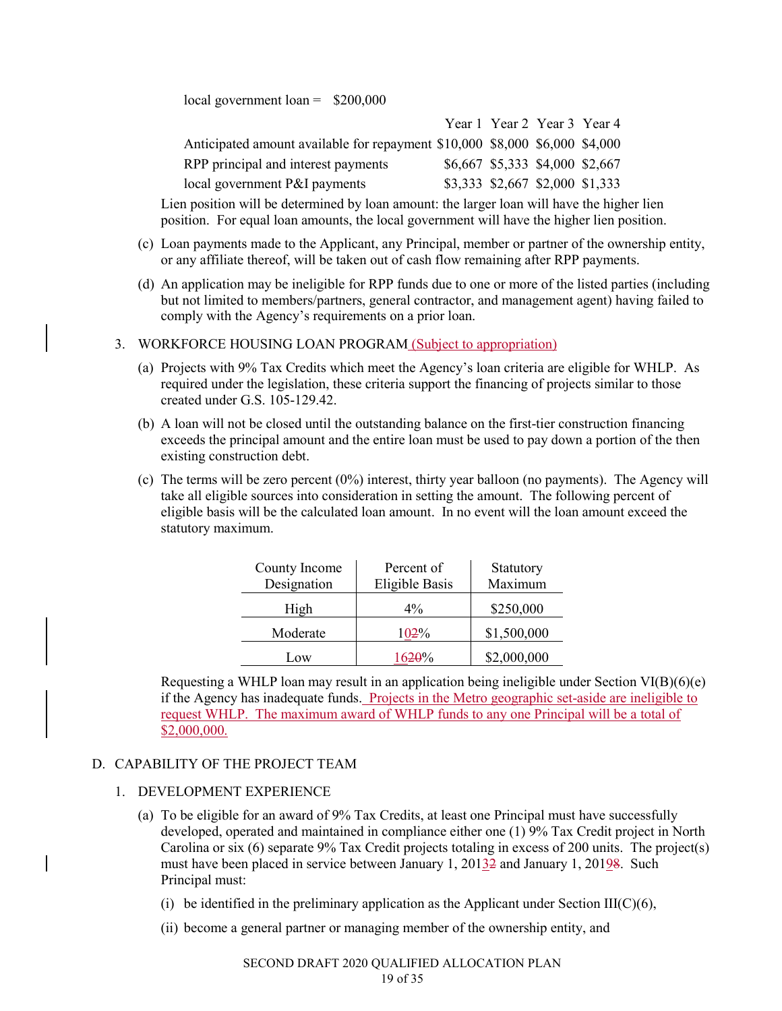local government loan = \$200,000

|                                                                             |  | Year 1 Year 2 Year 3 Year 4     |  |
|-----------------------------------------------------------------------------|--|---------------------------------|--|
| Anticipated amount available for repayment \$10,000 \$8,000 \$6,000 \$4,000 |  |                                 |  |
| RPP principal and interest payments                                         |  | \$6,667 \$5,333 \$4,000 \$2,667 |  |
| local government P&I payments                                               |  | \$3,333 \$2,667 \$2,000 \$1,333 |  |

Lien position will be determined by loan amount: the larger loan will have the higher lien position. For equal loan amounts, the local government will have the higher lien position.

- (c) Loan payments made to the Applicant, any Principal, member or partner of the ownership entity, or any affiliate thereof, will be taken out of cash flow remaining after RPP payments.
- (d) An application may be ineligible for RPP funds due to one or more of the listed parties (including but not limited to members/partners, general contractor, and management agent) having failed to comply with the Agency's requirements on a prior loan.

# 3. WORKFORCE HOUSING LOAN PROGRAM (Subject to appropriation)

- (a) Projects with 9% Tax Credits which meet the Agency's loan criteria are eligible for WHLP. As required under the legislation, these criteria support the financing of projects similar to those created under G.S. 105-129.42.
- (b) A loan will not be closed until the outstanding balance on the first-tier construction financing exceeds the principal amount and the entire loan must be used to pay down a portion of the then existing construction debt.
- (c) The terms will be zero percent  $(0\%)$  interest, thirty year balloon (no payments). The Agency will take all eligible sources into consideration in setting the amount. The following percent of eligible basis will be the calculated loan amount. In no event will the loan amount exceed the statutory maximum.

| County Income<br>Designation | Percent of<br><b>Eligible Basis</b> | Statutory<br>Maximum |
|------------------------------|-------------------------------------|----------------------|
| High                         | $4\%$                               | \$250,000            |
| Moderate                     | 102%                                | \$1,500,000          |
| Low                          | 1620%                               | \$2,000,000          |

Requesting a WHLP loan may result in an application being ineligible under Section VI(B)(6)(e) if the Agency has inadequate funds. Projects in the Metro geographic set-aside are ineligible to request WHLP. The maximum award of WHLP funds to any one Principal will be a total of \$2,000,000.

#### D. CAPABILITY OF THE PROJECT TEAM

#### 1. DEVELOPMENT EXPERIENCE

- (a) To be eligible for an award of 9% Tax Credits, at least one Principal must have successfully developed, operated and maintained in compliance either one (1) 9% Tax Credit project in North Carolina or six (6) separate 9% Tax Credit projects totaling in excess of 200 units. The project(s) must have been placed in service between January 1,  $201\frac{32}{2}$  and January 1,  $201\frac{98}{2}$ . Such Principal must:
	- (i) be identified in the preliminary application as the Applicant under Section III( $C$ )(6),
	- (ii) become a general partner or managing member of the ownership entity, and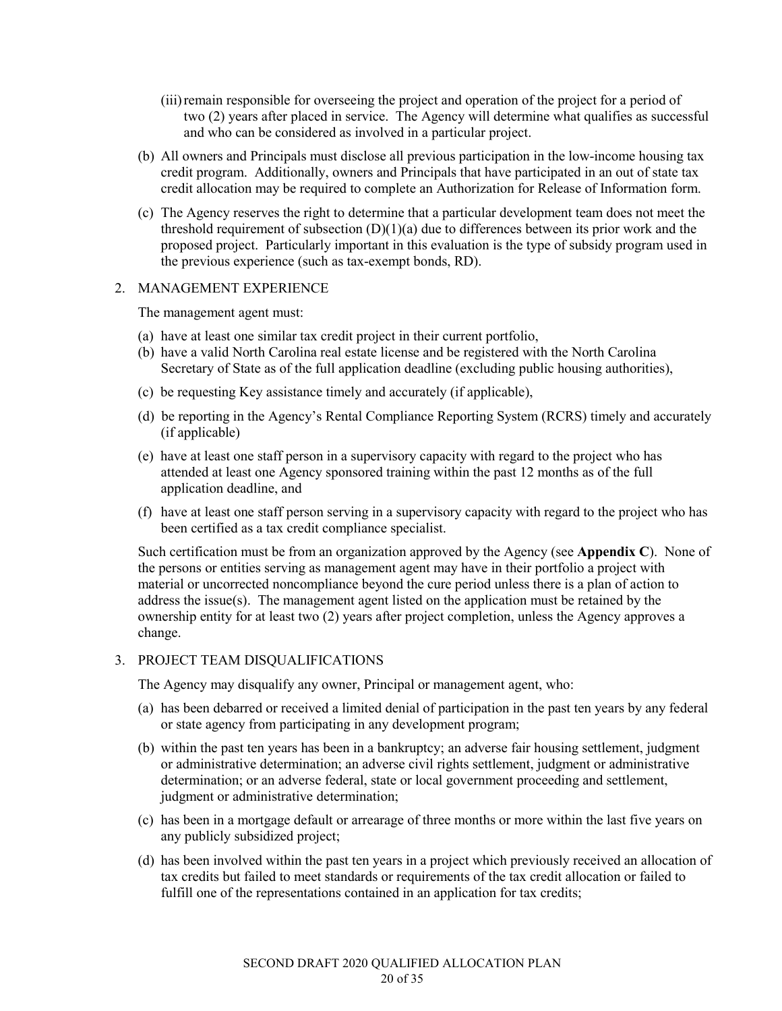- (iii)remain responsible for overseeing the project and operation of the project for a period of two (2) years after placed in service. The Agency will determine what qualifies as successful and who can be considered as involved in a particular project.
- (b) All owners and Principals must disclose all previous participation in the low-income housing tax credit program. Additionally, owners and Principals that have participated in an out of state tax credit allocation may be required to complete an Authorization for Release of Information form.
- (c) The Agency reserves the right to determine that a particular development team does not meet the threshold requirement of subsection  $(D)(1)(a)$  due to differences between its prior work and the proposed project. Particularly important in this evaluation is the type of subsidy program used in the previous experience (such as tax-exempt bonds, RD).

### 2. MANAGEMENT EXPERIENCE

The management agent must:

- (a) have at least one similar tax credit project in their current portfolio,
- (b) have a valid North Carolina real estate license and be registered with the North Carolina Secretary of State as of the full application deadline (excluding public housing authorities),
- (c) be requesting Key assistance timely and accurately (if applicable),
- (d) be reporting in the Agency's Rental Compliance Reporting System (RCRS) timely and accurately (if applicable)
- (e) have at least one staff person in a supervisory capacity with regard to the project who has attended at least one Agency sponsored training within the past 12 months as of the full application deadline, and
- (f) have at least one staff person serving in a supervisory capacity with regard to the project who has been certified as a tax credit compliance specialist.

Such certification must be from an organization approved by the Agency (see **Appendix C**). None of the persons or entities serving as management agent may have in their portfolio a project with material or uncorrected noncompliance beyond the cure period unless there is a plan of action to address the issue(s). The management agent listed on the application must be retained by the ownership entity for at least two (2) years after project completion, unless the Agency approves a change.

# 3. PROJECT TEAM DISQUALIFICATIONS

The Agency may disqualify any owner, Principal or management agent, who:

- (a) has been debarred or received a limited denial of participation in the past ten years by any federal or state agency from participating in any development program;
- (b) within the past ten years has been in a bankruptcy; an adverse fair housing settlement, judgment or administrative determination; an adverse civil rights settlement, judgment or administrative determination; or an adverse federal, state or local government proceeding and settlement, judgment or administrative determination;
- (c) has been in a mortgage default or arrearage of three months or more within the last five years on any publicly subsidized project;
- (d) has been involved within the past ten years in a project which previously received an allocation of tax credits but failed to meet standards or requirements of the tax credit allocation or failed to fulfill one of the representations contained in an application for tax credits;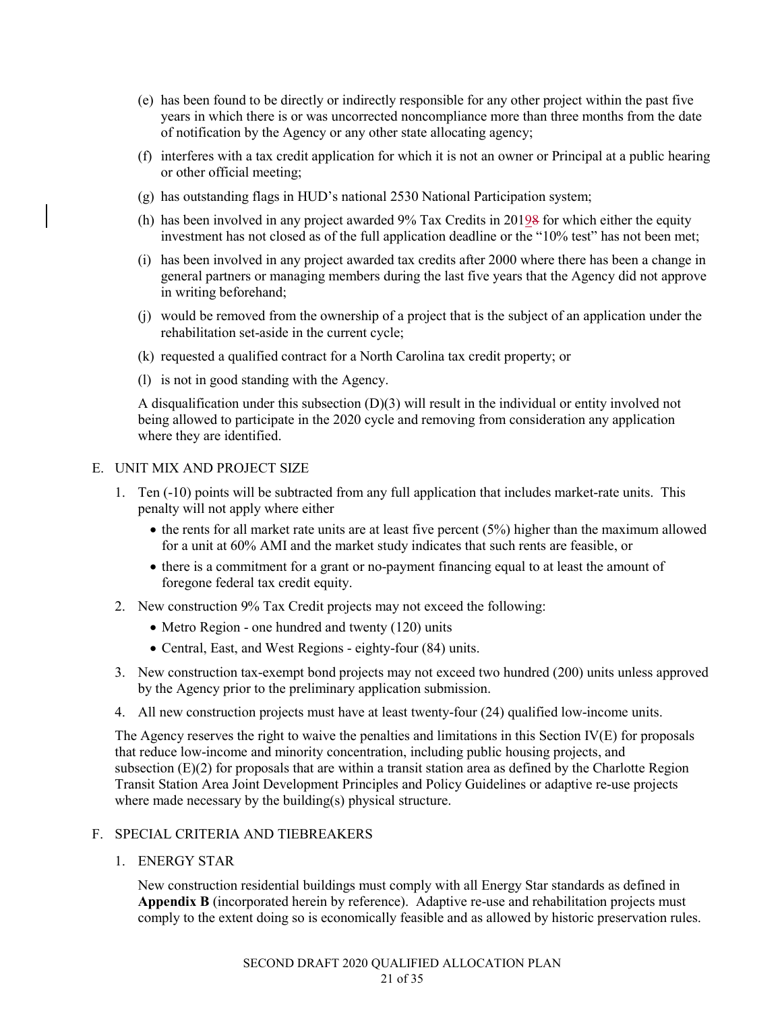- (e) has been found to be directly or indirectly responsible for any other project within the past five years in which there is or was uncorrected noncompliance more than three months from the date of notification by the Agency or any other state allocating agency;
- (f) interferes with a tax credit application for which it is not an owner or Principal at a public hearing or other official meeting;
- (g) has outstanding flags in HUD's national 2530 National Participation system;
- (h) has been involved in any project awarded  $9\%$  Tax Credits in  $201\frac{9}{8}$  for which either the equity investment has not closed as of the full application deadline or the "10% test" has not been met;
- (i) has been involved in any project awarded tax credits after 2000 where there has been a change in general partners or managing members during the last five years that the Agency did not approve in writing beforehand;
- (j) would be removed from the ownership of a project that is the subject of an application under the rehabilitation set-aside in the current cycle;
- (k) requested a qualified contract for a North Carolina tax credit property; or
- (l) is not in good standing with the Agency.

A disqualification under this subsection (D)(3) will result in the individual or entity involved not being allowed to participate in the 2020 cycle and removing from consideration any application where they are identified.

### E. UNIT MIX AND PROJECT SIZE

- 1. Ten (-10) points will be subtracted from any full application that includes market-rate units. This penalty will not apply where either
	- $\bullet$  the rents for all market rate units are at least five percent (5%) higher than the maximum allowed for a unit at 60% AMI and the market study indicates that such rents are feasible, or
	- there is a commitment for a grant or no-payment financing equal to at least the amount of foregone federal tax credit equity.
- 2. New construction 9% Tax Credit projects may not exceed the following:
	- Metro Region one hundred and twenty (120) units
	- Central, East, and West Regions eighty-four (84) units.
- 3. New construction tax-exempt bond projects may not exceed two hundred (200) units unless approved by the Agency prior to the preliminary application submission.
- 4. All new construction projects must have at least twenty-four (24) qualified low-income units.

The Agency reserves the right to waive the penalties and limitations in this Section IV(E) for proposals that reduce low-income and minority concentration, including public housing projects, and subsection (E)(2) for proposals that are within a transit station area as defined by the Charlotte Region Transit Station Area Joint Development Principles and Policy Guidelines or adaptive re-use projects where made necessary by the building(s) physical structure.

# F. SPECIAL CRITERIA AND TIEBREAKERS

1. ENERGY STAR

New construction residential buildings must comply with all Energy Star standards as defined in **Appendix B** (incorporated herein by reference). Adaptive re-use and rehabilitation projects must comply to the extent doing so is economically feasible and as allowed by historic preservation rules.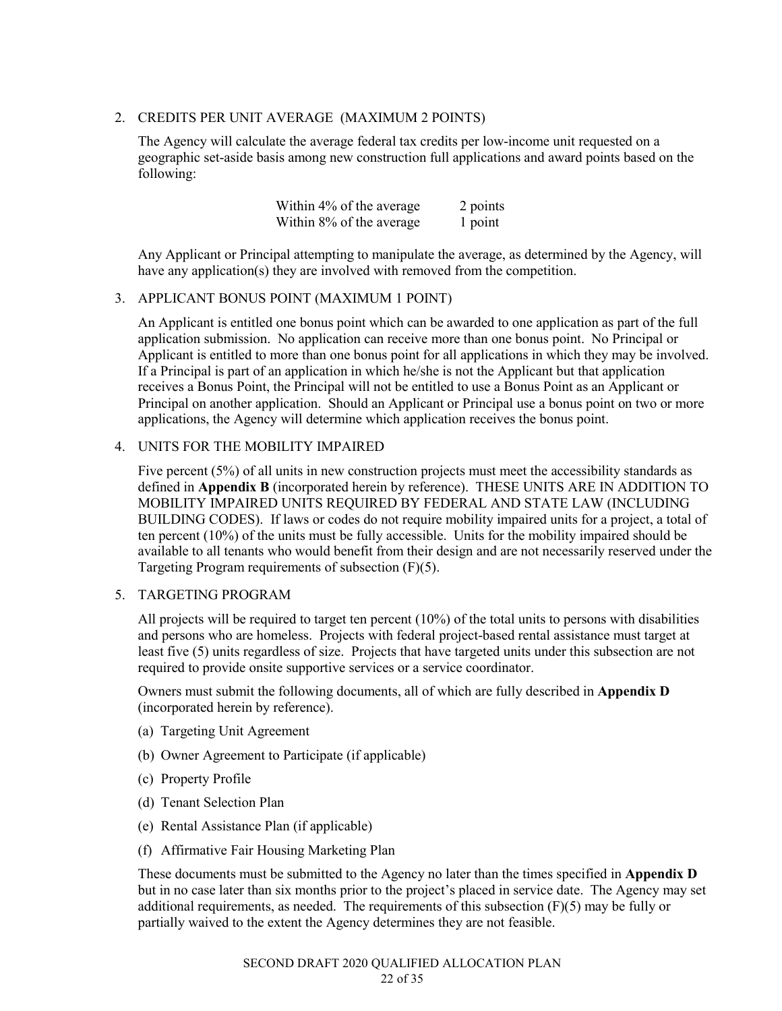# 2. CREDITS PER UNIT AVERAGE (MAXIMUM 2 POINTS)

The Agency will calculate the average federal tax credits per low-income unit requested on a geographic set-aside basis among new construction full applications and award points based on the following:

> Within  $4\%$  of the average 2 points Within  $8\%$  of the average 1 point

Any Applicant or Principal attempting to manipulate the average, as determined by the Agency, will have any application(s) they are involved with removed from the competition.

### 3. APPLICANT BONUS POINT (MAXIMUM 1 POINT)

An Applicant is entitled one bonus point which can be awarded to one application as part of the full application submission. No application can receive more than one bonus point. No Principal or Applicant is entitled to more than one bonus point for all applications in which they may be involved. If a Principal is part of an application in which he/she is not the Applicant but that application receives a Bonus Point, the Principal will not be entitled to use a Bonus Point as an Applicant or Principal on another application. Should an Applicant or Principal use a bonus point on two or more applications, the Agency will determine which application receives the bonus point.

### 4. UNITS FOR THE MOBILITY IMPAIRED

Five percent (5%) of all units in new construction projects must meet the accessibility standards as defined in **Appendix B** (incorporated herein by reference). THESE UNITS ARE IN ADDITION TO MOBILITY IMPAIRED UNITS REQUIRED BY FEDERAL AND STATE LAW (INCLUDING BUILDING CODES). If laws or codes do not require mobility impaired units for a project, a total of ten percent (10%) of the units must be fully accessible. Units for the mobility impaired should be available to all tenants who would benefit from their design and are not necessarily reserved under the Targeting Program requirements of subsection (F)(5).

#### 5. TARGETING PROGRAM

All projects will be required to target ten percent (10%) of the total units to persons with disabilities and persons who are homeless. Projects with federal project-based rental assistance must target at least five (5) units regardless of size. Projects that have targeted units under this subsection are not required to provide onsite supportive services or a service coordinator.

Owners must submit the following documents, all of which are fully described in **Appendix D** (incorporated herein by reference).

- (a) Targeting Unit Agreement
- (b) Owner Agreement to Participate (if applicable)
- (c) Property Profile
- (d) Tenant Selection Plan
- (e) Rental Assistance Plan (if applicable)
- (f) Affirmative Fair Housing Marketing Plan

These documents must be submitted to the Agency no later than the times specified in **Appendix D** but in no case later than six months prior to the project's placed in service date. The Agency may set additional requirements, as needed. The requirements of this subsection  $(F)(5)$  may be fully or partially waived to the extent the Agency determines they are not feasible.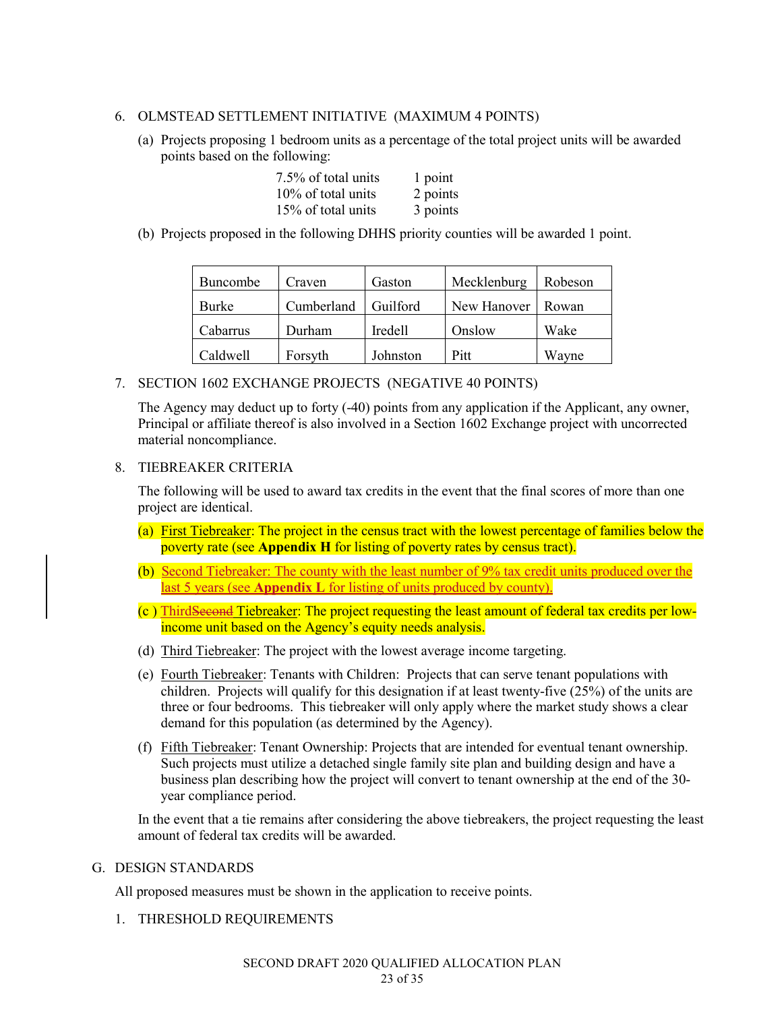# 6. OLMSTEAD SETTLEMENT INITIATIVE (MAXIMUM 4 POINTS)

(a) Projects proposing 1 bedroom units as a percentage of the total project units will be awarded points based on the following:

| 7.5% of total units | 1 point  |
|---------------------|----------|
| 10% of total units  | 2 points |
| 15% of total units  | 3 points |

(b) Projects proposed in the following DHHS priority counties will be awarded 1 point.

| <b>Buncombe</b> | Craven     | Gaston          | Mecklenburg | Robeson |
|-----------------|------------|-----------------|-------------|---------|
| Burke           | Cumberland | <b>Guilford</b> | New Hanover | Rowan   |
| Cabarrus        | Durham     | Iredell         | Onslow      | Wake    |
| Caldwell        | Forsyth    | Johnston        | Pitt        | Wavne   |

7. SECTION 1602 EXCHANGE PROJECTS (NEGATIVE 40 POINTS)

The Agency may deduct up to forty (-40) points from any application if the Applicant, any owner, Principal or affiliate thereof is also involved in a Section 1602 Exchange project with uncorrected material noncompliance.

# 8. TIEBREAKER CRITERIA

The following will be used to award tax credits in the event that the final scores of more than one project are identical.

- (a) First Tiebreaker: The project in the census tract with the lowest percentage of families below the poverty rate (see **Appendix H** for listing of poverty rates by census tract).
- (b) Second Tiebreaker: The county with the least number of 9% tax credit units produced over the last 5 years (see **Appendix L** for listing of units produced by county).
- (c ) ThirdSecond Tiebreaker: The project requesting the least amount of federal tax credits per lowincome unit based on the Agency's equity needs analysis.
- (d) Third Tiebreaker: The project with the lowest average income targeting.
- (e) Fourth Tiebreaker: Tenants with Children: Projects that can serve tenant populations with children. Projects will qualify for this designation if at least twenty-five (25%) of the units are three or four bedrooms. This tiebreaker will only apply where the market study shows a clear demand for this population (as determined by the Agency).
- (f) Fifth Tiebreaker: Tenant Ownership: Projects that are intended for eventual tenant ownership. Such projects must utilize a detached single family site plan and building design and have a business plan describing how the project will convert to tenant ownership at the end of the 30 year compliance period.

In the event that a tie remains after considering the above tiebreakers, the project requesting the least amount of federal tax credits will be awarded.

# G. DESIGN STANDARDS

All proposed measures must be shown in the application to receive points.

1. THRESHOLD REQUIREMENTS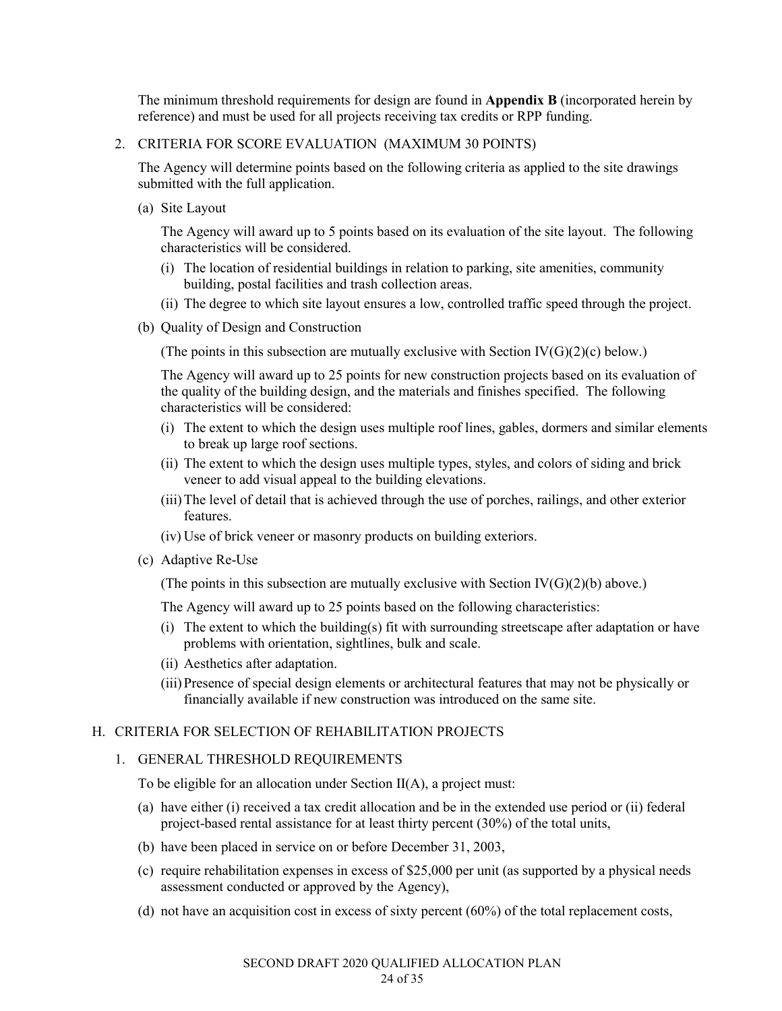The minimum threshold requirements for design are found in **Appendix B** (incorporated herein by reference) and must be used for all projects receiving tax credits or RPP funding.

### 2. CRITERIA FOR SCORE EVALUATION (MAXIMUM 30 POINTS)

The Agency will determine points based on the following criteria as applied to the site drawings submitted with the full application.

(a) Site Layout

The Agency will award up to 5 points based on its evaluation of the site layout. The following characteristics will be considered.

- (i) The location of residential buildings in relation to parking, site amenities, community building, postal facilities and trash collection areas.
- (ii) The degree to which site layout ensures a low, controlled traffic speed through the project.
- (b) Quality of Design and Construction

(The points in this subsection are mutually exclusive with Section  $IV(G)(2)(c)$  below.)

The Agency will award up to 25 points for new construction projects based on its evaluation of the quality of the building design, and the materials and finishes specified. The following characteristics will be considered:

- (i) The extent to which the design uses multiple roof lines, gables, dormers and similar elements to break up large roof sections.
- (ii) The extent to which the design uses multiple types, styles, and colors of siding and brick veneer to add visual appeal to the building elevations.
- (iii)The level of detail that is achieved through the use of porches, railings, and other exterior features.
- (iv) Use of brick veneer or masonry products on building exteriors.
- (c) Adaptive Re-Use

(The points in this subsection are mutually exclusive with Section  $IV(G)(2)(b)$  above.)

The Agency will award up to 25 points based on the following characteristics:

- (i) The extent to which the building(s) fit with surrounding streetscape after adaptation or have problems with orientation, sightlines, bulk and scale.
- (ii) Aesthetics after adaptation.
- (iii)Presence of special design elements or architectural features that may not be physically or financially available if new construction was introduced on the same site.

#### H. CRITERIA FOR SELECTION OF REHABILITATION PROJECTS

### 1. GENERAL THRESHOLD REQUIREMENTS

To be eligible for an allocation under Section II(A), a project must:

- (a) have either (i) received a tax credit allocation and be in the extended use period or (ii) federal project-based rental assistance for at least thirty percent (30%) of the total units,
- (b) have been placed in service on or before December 31, 2003,
- (c) require rehabilitation expenses in excess of \$25,000 per unit (as supported by a physical needs assessment conducted or approved by the Agency),
- (d) not have an acquisition cost in excess of sixty percent (60%) of the total replacement costs,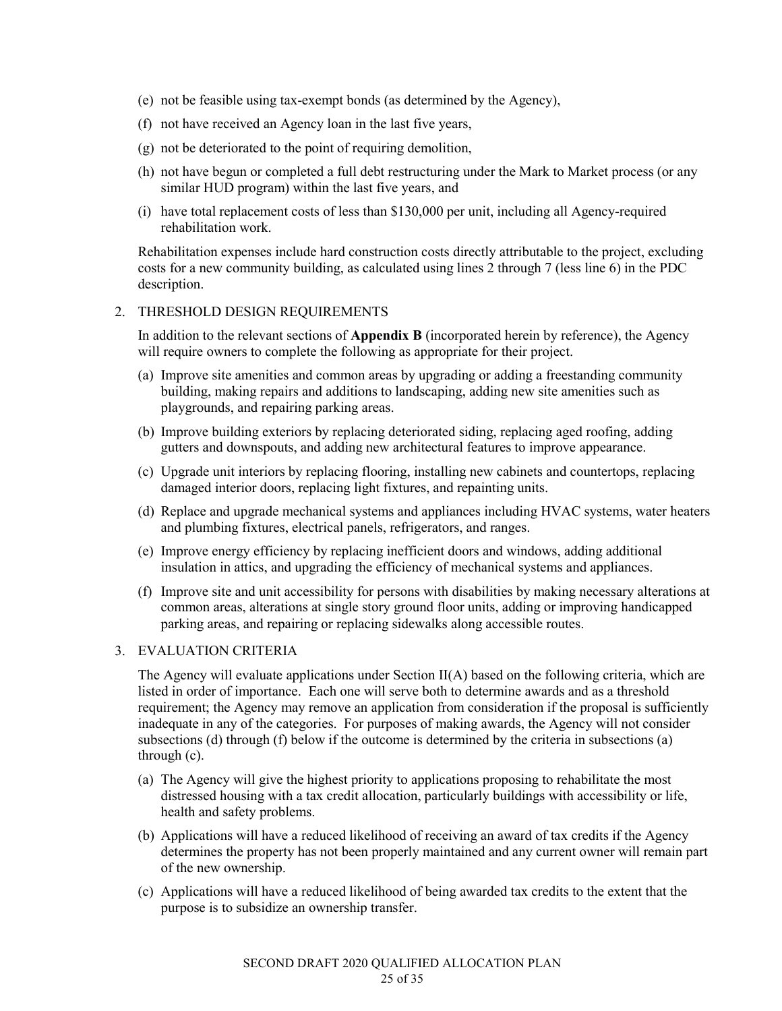- (e) not be feasible using tax-exempt bonds (as determined by the Agency),
- (f) not have received an Agency loan in the last five years,
- (g) not be deteriorated to the point of requiring demolition,
- (h) not have begun or completed a full debt restructuring under the Mark to Market process (or any similar HUD program) within the last five years, and
- (i) have total replacement costs of less than \$130,000 per unit, including all Agency-required rehabilitation work.

Rehabilitation expenses include hard construction costs directly attributable to the project, excluding costs for a new community building, as calculated using lines 2 through 7 (less line 6) in the PDC description.

### 2. THRESHOLD DESIGN REQUIREMENTS

In addition to the relevant sections of **Appendix B** (incorporated herein by reference), the Agency will require owners to complete the following as appropriate for their project.

- (a) Improve site amenities and common areas by upgrading or adding a freestanding community building, making repairs and additions to landscaping, adding new site amenities such as playgrounds, and repairing parking areas.
- (b) Improve building exteriors by replacing deteriorated siding, replacing aged roofing, adding gutters and downspouts, and adding new architectural features to improve appearance.
- (c) Upgrade unit interiors by replacing flooring, installing new cabinets and countertops, replacing damaged interior doors, replacing light fixtures, and repainting units.
- (d) Replace and upgrade mechanical systems and appliances including HVAC systems, water heaters and plumbing fixtures, electrical panels, refrigerators, and ranges.
- (e) Improve energy efficiency by replacing inefficient doors and windows, adding additional insulation in attics, and upgrading the efficiency of mechanical systems and appliances.
- (f) Improve site and unit accessibility for persons with disabilities by making necessary alterations at common areas, alterations at single story ground floor units, adding or improving handicapped parking areas, and repairing or replacing sidewalks along accessible routes.

#### 3. EVALUATION CRITERIA

The Agency will evaluate applications under Section II(A) based on the following criteria, which are listed in order of importance. Each one will serve both to determine awards and as a threshold requirement; the Agency may remove an application from consideration if the proposal is sufficiently inadequate in any of the categories. For purposes of making awards, the Agency will not consider subsections (d) through (f) below if the outcome is determined by the criteria in subsections (a) through (c).

- (a) The Agency will give the highest priority to applications proposing to rehabilitate the most distressed housing with a tax credit allocation, particularly buildings with accessibility or life, health and safety problems.
- (b) Applications will have a reduced likelihood of receiving an award of tax credits if the Agency determines the property has not been properly maintained and any current owner will remain part of the new ownership.
- (c) Applications will have a reduced likelihood of being awarded tax credits to the extent that the purpose is to subsidize an ownership transfer.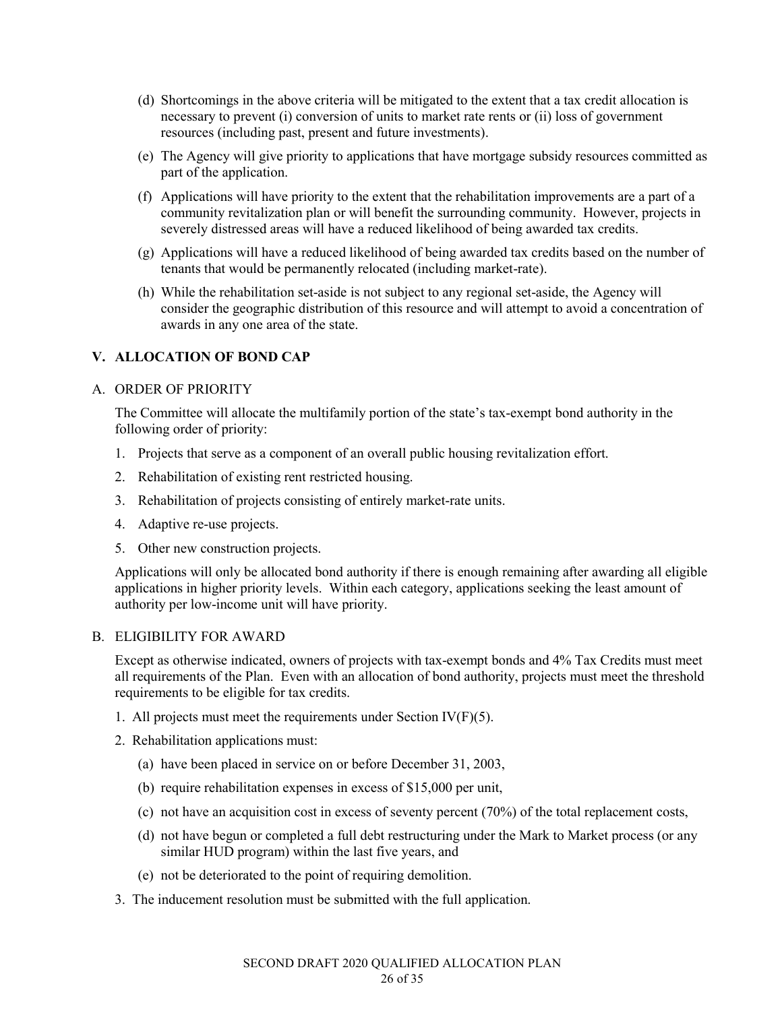- (d) Shortcomings in the above criteria will be mitigated to the extent that a tax credit allocation is necessary to prevent (i) conversion of units to market rate rents or (ii) loss of government resources (including past, present and future investments).
- (e) The Agency will give priority to applications that have mortgage subsidy resources committed as part of the application.
- (f) Applications will have priority to the extent that the rehabilitation improvements are a part of a community revitalization plan or will benefit the surrounding community. However, projects in severely distressed areas will have a reduced likelihood of being awarded tax credits.
- (g) Applications will have a reduced likelihood of being awarded tax credits based on the number of tenants that would be permanently relocated (including market-rate).
- (h) While the rehabilitation set-aside is not subject to any regional set-aside, the Agency will consider the geographic distribution of this resource and will attempt to avoid a concentration of awards in any one area of the state.

# **V. ALLOCATION OF BOND CAP**

### A. ORDER OF PRIORITY

The Committee will allocate the multifamily portion of the state's tax-exempt bond authority in the following order of priority:

- 1. Projects that serve as a component of an overall public housing revitalization effort.
- 2. Rehabilitation of existing rent restricted housing.
- 3. Rehabilitation of projects consisting of entirely market-rate units.
- 4. Adaptive re-use projects.
- 5. Other new construction projects.

Applications will only be allocated bond authority if there is enough remaining after awarding all eligible applications in higher priority levels. Within each category, applications seeking the least amount of authority per low-income unit will have priority.

#### B. ELIGIBILITY FOR AWARD

Except as otherwise indicated, owners of projects with tax-exempt bonds and 4% Tax Credits must meet all requirements of the Plan. Even with an allocation of bond authority, projects must meet the threshold requirements to be eligible for tax credits.

- 1. All projects must meet the requirements under Section  $IV(F)(5)$ .
- 2. Rehabilitation applications must:
	- (a) have been placed in service on or before December 31, 2003,
	- (b) require rehabilitation expenses in excess of \$15,000 per unit,
	- (c) not have an acquisition cost in excess of seventy percent (70%) of the total replacement costs,
	- (d) not have begun or completed a full debt restructuring under the Mark to Market process (or any similar HUD program) within the last five years, and
	- (e) not be deteriorated to the point of requiring demolition.
- 3. The inducement resolution must be submitted with the full application.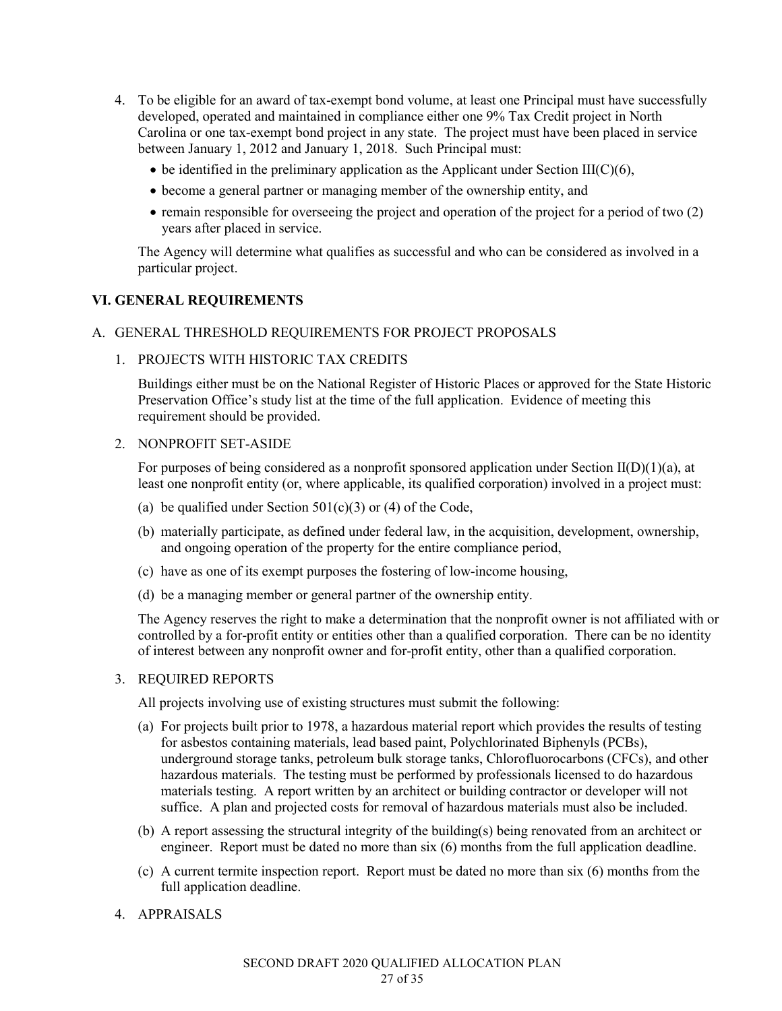- 4. To be eligible for an award of tax-exempt bond volume, at least one Principal must have successfully developed, operated and maintained in compliance either one 9% Tax Credit project in North Carolina or one tax-exempt bond project in any state. The project must have been placed in service between January 1, 2012 and January 1, 2018. Such Principal must:
	- $\bullet$  be identified in the preliminary application as the Applicant under Section III(C)(6),
	- become a general partner or managing member of the ownership entity, and
	- remain responsible for overseeing the project and operation of the project for a period of two (2) years after placed in service.

The Agency will determine what qualifies as successful and who can be considered as involved in a particular project.

#### **VI. GENERAL REQUIREMENTS**

#### A. GENERAL THRESHOLD REQUIREMENTS FOR PROJECT PROPOSALS

1. PROJECTS WITH HISTORIC TAX CREDITS

Buildings either must be on the National Register of Historic Places or approved for the State Historic Preservation Office's study list at the time of the full application. Evidence of meeting this requirement should be provided.

#### 2. NONPROFIT SET-ASIDE

For purposes of being considered as a nonprofit sponsored application under Section  $II(D)(1)(a)$ , at least one nonprofit entity (or, where applicable, its qualified corporation) involved in a project must:

- (a) be qualified under Section  $501(c)(3)$  or (4) of the Code,
- (b) materially participate, as defined under federal law, in the acquisition, development, ownership, and ongoing operation of the property for the entire compliance period,
- (c) have as one of its exempt purposes the fostering of low-income housing,
- (d) be a managing member or general partner of the ownership entity.

The Agency reserves the right to make a determination that the nonprofit owner is not affiliated with or controlled by a for-profit entity or entities other than a qualified corporation. There can be no identity of interest between any nonprofit owner and for-profit entity, other than a qualified corporation.

#### 3. REQUIRED REPORTS

All projects involving use of existing structures must submit the following:

- (a) For projects built prior to 1978, a hazardous material report which provides the results of testing for asbestos containing materials, lead based paint, Polychlorinated Biphenyls (PCBs), underground storage tanks, petroleum bulk storage tanks, Chlorofluorocarbons (CFCs), and other hazardous materials. The testing must be performed by professionals licensed to do hazardous materials testing. A report written by an architect or building contractor or developer will not suffice. A plan and projected costs for removal of hazardous materials must also be included.
- (b) A report assessing the structural integrity of the building(s) being renovated from an architect or engineer. Report must be dated no more than six (6) months from the full application deadline.
- (c) A current termite inspection report. Report must be dated no more than six (6) months from the full application deadline.
- 4. APPRAISALS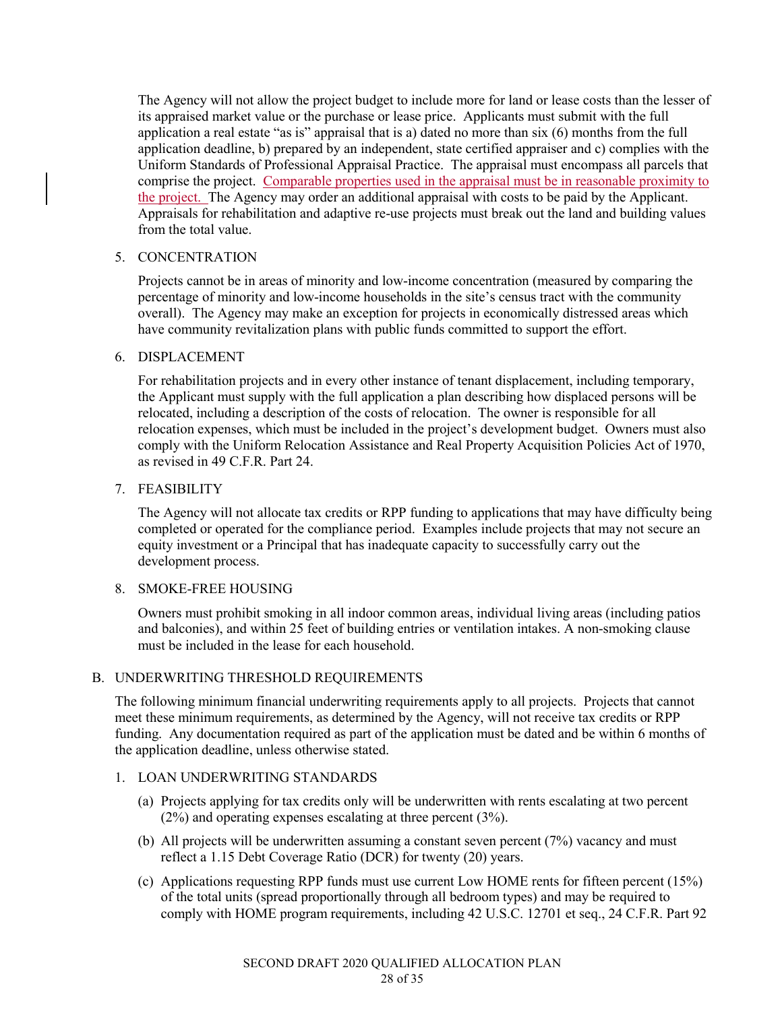The Agency will not allow the project budget to include more for land or lease costs than the lesser of its appraised market value or the purchase or lease price. Applicants must submit with the full application a real estate "as is" appraisal that is a) dated no more than six (6) months from the full application deadline, b) prepared by an independent, state certified appraiser and c) complies with the Uniform Standards of Professional Appraisal Practice. The appraisal must encompass all parcels that comprise the project. Comparable properties used in the appraisal must be in reasonable proximity to the project. The Agency may order an additional appraisal with costs to be paid by the Applicant. Appraisals for rehabilitation and adaptive re-use projects must break out the land and building values from the total value.

# 5. CONCENTRATION

Projects cannot be in areas of minority and low-income concentration (measured by comparing the percentage of minority and low-income households in the site's census tract with the community overall). The Agency may make an exception for projects in economically distressed areas which have community revitalization plans with public funds committed to support the effort.

# 6. DISPLACEMENT

For rehabilitation projects and in every other instance of tenant displacement, including temporary, the Applicant must supply with the full application a plan describing how displaced persons will be relocated, including a description of the costs of relocation. The owner is responsible for all relocation expenses, which must be included in the project's development budget. Owners must also comply with the Uniform Relocation Assistance and Real Property Acquisition Policies Act of 1970, as revised in 49 C.F.R. Part 24.

### 7. FEASIBILITY

The Agency will not allocate tax credits or RPP funding to applications that may have difficulty being completed or operated for the compliance period. Examples include projects that may not secure an equity investment or a Principal that has inadequate capacity to successfully carry out the development process.

# 8. SMOKE-FREE HOUSING

Owners must prohibit smoking in all indoor common areas, individual living areas (including patios and balconies), and within 25 feet of building entries or ventilation intakes. A non-smoking clause must be included in the lease for each household.

# B. UNDERWRITING THRESHOLD REQUIREMENTS

The following minimum financial underwriting requirements apply to all projects. Projects that cannot meet these minimum requirements, as determined by the Agency, will not receive tax credits or RPP funding. Any documentation required as part of the application must be dated and be within 6 months of the application deadline, unless otherwise stated.

# 1. LOAN UNDERWRITING STANDARDS

- (a) Projects applying for tax credits only will be underwritten with rents escalating at two percent (2%) and operating expenses escalating at three percent (3%).
- (b) All projects will be underwritten assuming a constant seven percent (7%) vacancy and must reflect a 1.15 Debt Coverage Ratio (DCR) for twenty (20) years.
- (c) Applications requesting RPP funds must use current Low HOME rents for fifteen percent (15%) of the total units (spread proportionally through all bedroom types) and may be required to comply with HOME program requirements, including 42 U.S.C. 12701 et seq., 24 C.F.R. Part 92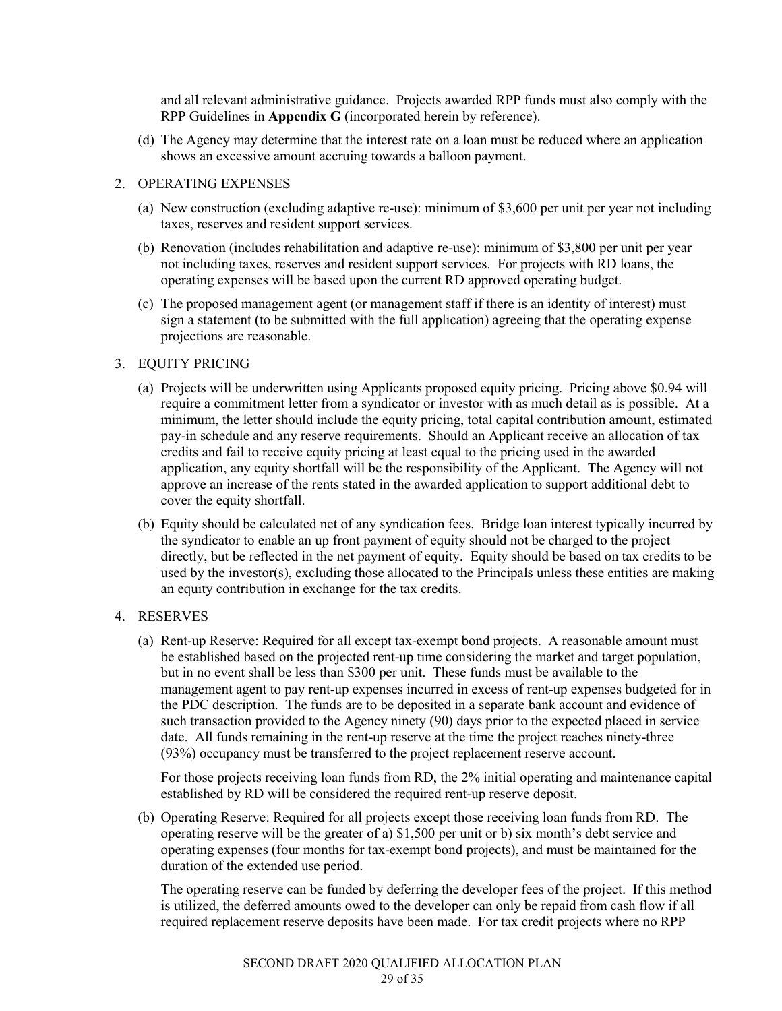and all relevant administrative guidance. Projects awarded RPP funds must also comply with the RPP Guidelines in **Appendix G** (incorporated herein by reference).

(d) The Agency may determine that the interest rate on a loan must be reduced where an application shows an excessive amount accruing towards a balloon payment.

#### 2. OPERATING EXPENSES

- (a) New construction (excluding adaptive re-use): minimum of \$3,600 per unit per year not including taxes, reserves and resident support services.
- (b) Renovation (includes rehabilitation and adaptive re-use): minimum of \$3,800 per unit per year not including taxes, reserves and resident support services. For projects with RD loans, the operating expenses will be based upon the current RD approved operating budget.
- (c) The proposed management agent (or management staff if there is an identity of interest) must sign a statement (to be submitted with the full application) agreeing that the operating expense projections are reasonable.

### 3. EQUITY PRICING

- (a) Projects will be underwritten using Applicants proposed equity pricing. Pricing above \$0.94 will require a commitment letter from a syndicator or investor with as much detail as is possible. At a minimum, the letter should include the equity pricing, total capital contribution amount, estimated pay-in schedule and any reserve requirements. Should an Applicant receive an allocation of tax credits and fail to receive equity pricing at least equal to the pricing used in the awarded application, any equity shortfall will be the responsibility of the Applicant. The Agency will not approve an increase of the rents stated in the awarded application to support additional debt to cover the equity shortfall.
- (b) Equity should be calculated net of any syndication fees. Bridge loan interest typically incurred by the syndicator to enable an up front payment of equity should not be charged to the project directly, but be reflected in the net payment of equity. Equity should be based on tax credits to be used by the investor(s), excluding those allocated to the Principals unless these entities are making an equity contribution in exchange for the tax credits.

# 4. RESERVES

(a) Rent-up Reserve: Required for all except tax-exempt bond projects. A reasonable amount must be established based on the projected rent-up time considering the market and target population, but in no event shall be less than \$300 per unit. These funds must be available to the management agent to pay rent-up expenses incurred in excess of rent-up expenses budgeted for in the PDC description. The funds are to be deposited in a separate bank account and evidence of such transaction provided to the Agency ninety (90) days prior to the expected placed in service date. All funds remaining in the rent-up reserve at the time the project reaches ninety-three (93%) occupancy must be transferred to the project replacement reserve account.

For those projects receiving loan funds from RD, the 2% initial operating and maintenance capital established by RD will be considered the required rent-up reserve deposit.

(b) Operating Reserve: Required for all projects except those receiving loan funds from RD. The operating reserve will be the greater of a) \$1,500 per unit or b) six month's debt service and operating expenses (four months for tax-exempt bond projects), and must be maintained for the duration of the extended use period.

The operating reserve can be funded by deferring the developer fees of the project. If this method is utilized, the deferred amounts owed to the developer can only be repaid from cash flow if all required replacement reserve deposits have been made. For tax credit projects where no RPP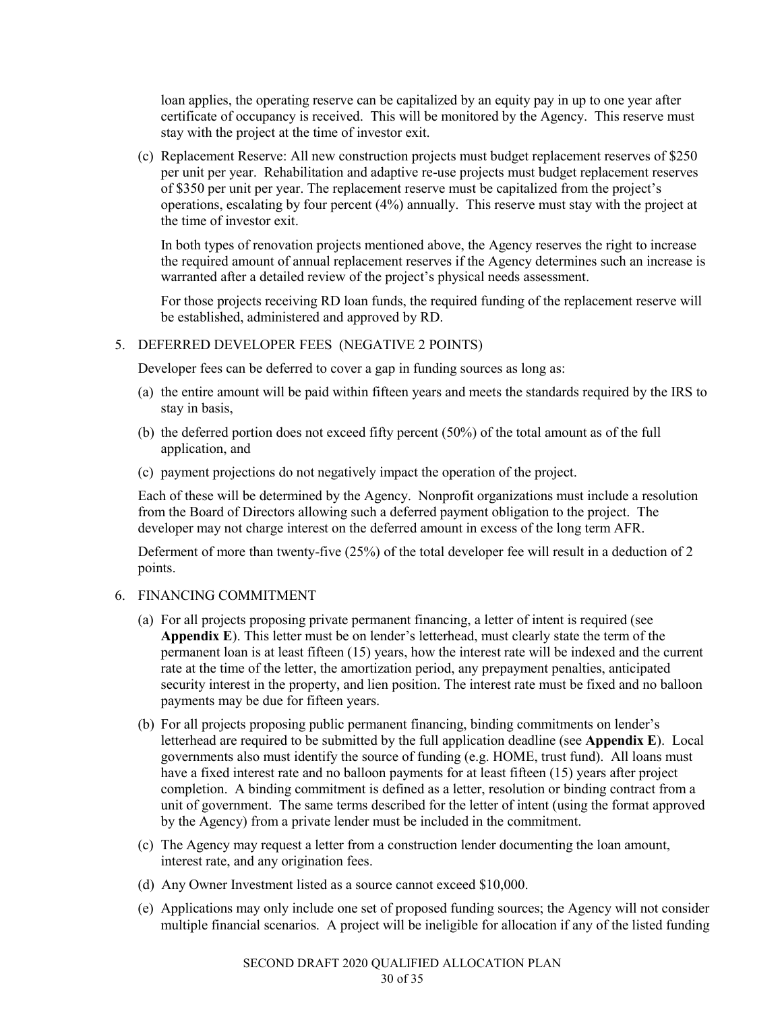loan applies, the operating reserve can be capitalized by an equity pay in up to one year after certificate of occupancy is received. This will be monitored by the Agency. This reserve must stay with the project at the time of investor exit.

(c) Replacement Reserve: All new construction projects must budget replacement reserves of \$250 per unit per year. Rehabilitation and adaptive re-use projects must budget replacement reserves of \$350 per unit per year. The replacement reserve must be capitalized from the project's operations, escalating by four percent (4%) annually. This reserve must stay with the project at the time of investor exit.

In both types of renovation projects mentioned above, the Agency reserves the right to increase the required amount of annual replacement reserves if the Agency determines such an increase is warranted after a detailed review of the project's physical needs assessment.

For those projects receiving RD loan funds, the required funding of the replacement reserve will be established, administered and approved by RD.

#### 5. DEFERRED DEVELOPER FEES (NEGATIVE 2 POINTS)

Developer fees can be deferred to cover a gap in funding sources as long as:

- (a) the entire amount will be paid within fifteen years and meets the standards required by the IRS to stay in basis,
- (b) the deferred portion does not exceed fifty percent (50%) of the total amount as of the full application, and
- (c) payment projections do not negatively impact the operation of the project.

Each of these will be determined by the Agency. Nonprofit organizations must include a resolution from the Board of Directors allowing such a deferred payment obligation to the project. The developer may not charge interest on the deferred amount in excess of the long term AFR.

Deferment of more than twenty-five (25%) of the total developer fee will result in a deduction of 2 points.

### 6. FINANCING COMMITMENT

- (a) For all projects proposing private permanent financing, a letter of intent is required (see **Appendix E**). This letter must be on lender's letterhead, must clearly state the term of the permanent loan is at least fifteen (15) years, how the interest rate will be indexed and the current rate at the time of the letter, the amortization period, any prepayment penalties, anticipated security interest in the property, and lien position. The interest rate must be fixed and no balloon payments may be due for fifteen years.
- (b) For all projects proposing public permanent financing, binding commitments on lender's letterhead are required to be submitted by the full application deadline (see **Appendix E**). Local governments also must identify the source of funding (e.g. HOME, trust fund). All loans must have a fixed interest rate and no balloon payments for at least fifteen (15) years after project completion. A binding commitment is defined as a letter, resolution or binding contract from a unit of government. The same terms described for the letter of intent (using the format approved by the Agency) from a private lender must be included in the commitment.
- (c) The Agency may request a letter from a construction lender documenting the loan amount, interest rate, and any origination fees.
- (d) Any Owner Investment listed as a source cannot exceed \$10,000.
- (e) Applications may only include one set of proposed funding sources; the Agency will not consider multiple financial scenarios. A project will be ineligible for allocation if any of the listed funding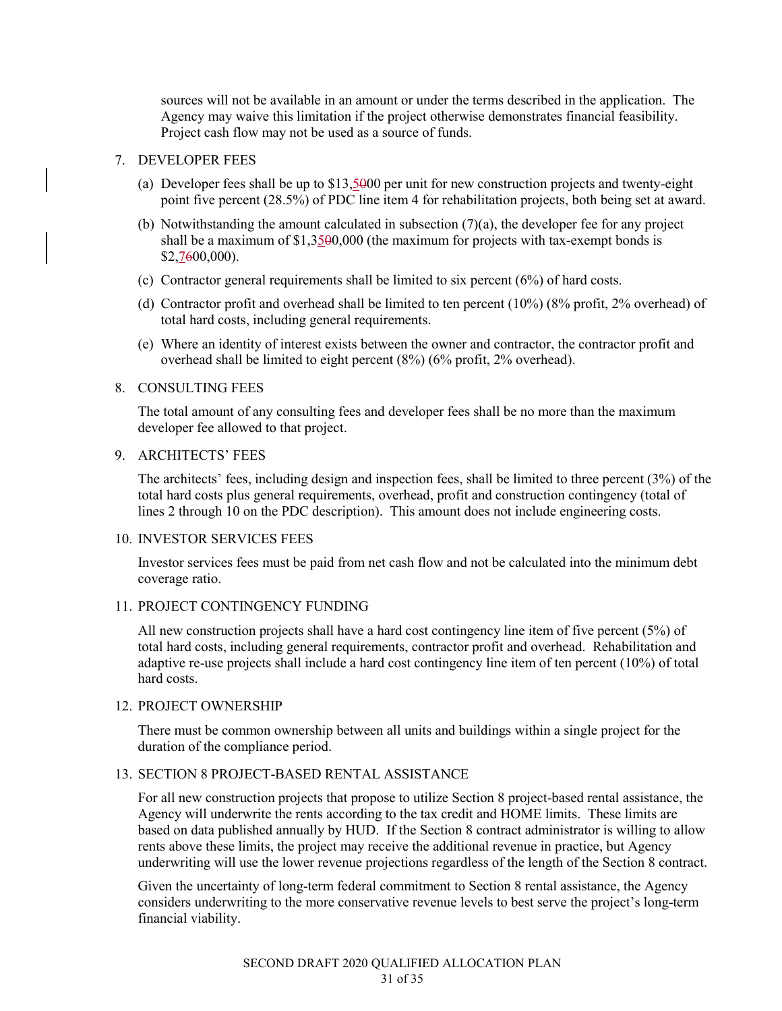sources will not be available in an amount or under the terms described in the application. The Agency may waive this limitation if the project otherwise demonstrates financial feasibility. Project cash flow may not be used as a source of funds.

#### 7. DEVELOPER FEES

- (a) Developer fees shall be up to \$13,5000 per unit for new construction projects and twenty-eight point five percent (28.5%) of PDC line item 4 for rehabilitation projects, both being set at award.
- (b) Notwithstanding the amount calculated in subsection (7)(a), the developer fee for any project shall be a maximum of \$1,3500,000 (the maximum for projects with tax-exempt bonds is \$2,7600,000).
- (c) Contractor general requirements shall be limited to six percent (6%) of hard costs.
- (d) Contractor profit and overhead shall be limited to ten percent (10%) (8% profit, 2% overhead) of total hard costs, including general requirements.
- (e) Where an identity of interest exists between the owner and contractor, the contractor profit and overhead shall be limited to eight percent (8%) (6% profit, 2% overhead).

#### 8. CONSULTING FEES

The total amount of any consulting fees and developer fees shall be no more than the maximum developer fee allowed to that project.

#### 9. ARCHITECTS' FEES

The architects' fees, including design and inspection fees, shall be limited to three percent (3%) of the total hard costs plus general requirements, overhead, profit and construction contingency (total of lines 2 through 10 on the PDC description). This amount does not include engineering costs.

#### 10. INVESTOR SERVICES FEES

Investor services fees must be paid from net cash flow and not be calculated into the minimum debt coverage ratio.

#### 11. PROJECT CONTINGENCY FUNDING

All new construction projects shall have a hard cost contingency line item of five percent (5%) of total hard costs, including general requirements, contractor profit and overhead. Rehabilitation and adaptive re-use projects shall include a hard cost contingency line item of ten percent (10%) of total hard costs.

#### 12. PROJECT OWNERSHIP

There must be common ownership between all units and buildings within a single project for the duration of the compliance period.

#### 13. SECTION 8 PROJECT-BASED RENTAL ASSISTANCE

For all new construction projects that propose to utilize Section 8 project-based rental assistance, the Agency will underwrite the rents according to the tax credit and HOME limits. These limits are based on data published annually by HUD. If the Section 8 contract administrator is willing to allow rents above these limits, the project may receive the additional revenue in practice, but Agency underwriting will use the lower revenue projections regardless of the length of the Section 8 contract.

Given the uncertainty of long-term federal commitment to Section 8 rental assistance, the Agency considers underwriting to the more conservative revenue levels to best serve the project's long-term financial viability.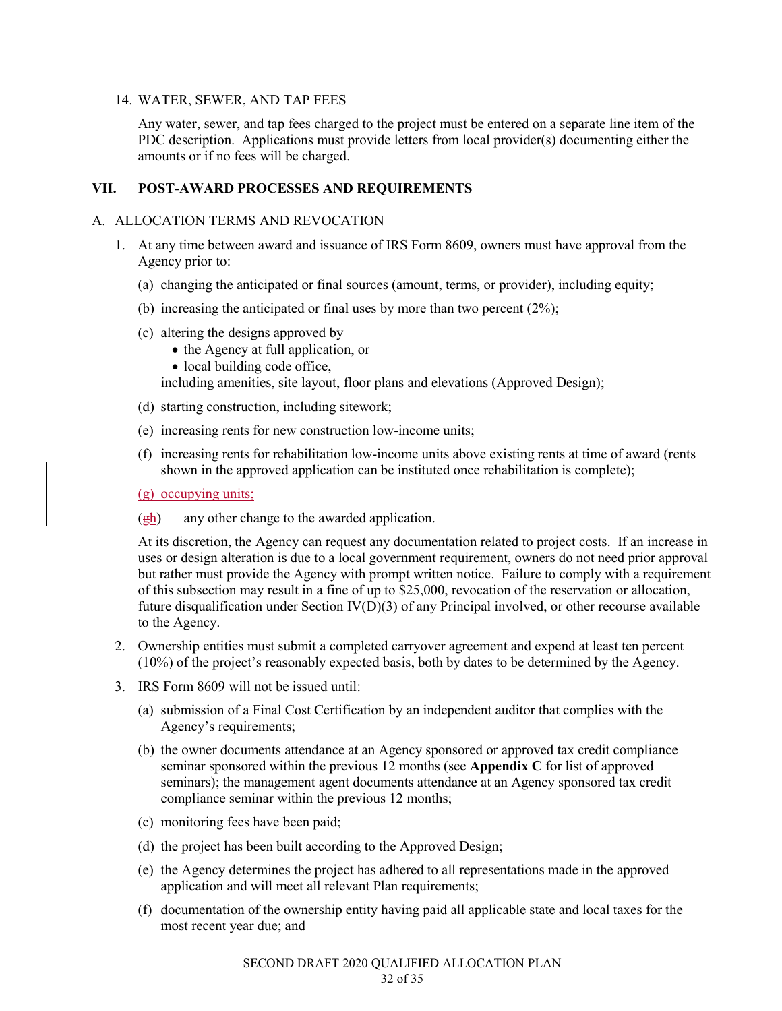#### 14. WATER, SEWER, AND TAP FEES

Any water, sewer, and tap fees charged to the project must be entered on a separate line item of the PDC description. Applications must provide letters from local provider(s) documenting either the amounts or if no fees will be charged.

# **VII. POST-AWARD PROCESSES AND REQUIREMENTS**

#### A. ALLOCATION TERMS AND REVOCATION

- 1. At any time between award and issuance of IRS Form 8609, owners must have approval from the Agency prior to:
	- (a) changing the anticipated or final sources (amount, terms, or provider), including equity;
	- (b) increasing the anticipated or final uses by more than two percent (2%);
	- (c) altering the designs approved by
		- the Agency at full application, or
		- local building code office,

including amenities, site layout, floor plans and elevations (Approved Design);

- (d) starting construction, including sitework;
- (e) increasing rents for new construction low-income units;
- (f) increasing rents for rehabilitation low-income units above existing rents at time of award (rents shown in the approved application can be instituted once rehabilitation is complete);
- (g) occupying units;
- $(\frac{eh}{eh})$  any other change to the awarded application.

At its discretion, the Agency can request any documentation related to project costs. If an increase in uses or design alteration is due to a local government requirement, owners do not need prior approval but rather must provide the Agency with prompt written notice. Failure to comply with a requirement of this subsection may result in a fine of up to \$25,000, revocation of the reservation or allocation, future disqualification under Section IV(D)(3) of any Principal involved, or other recourse available to the Agency.

- 2. Ownership entities must submit a completed carryover agreement and expend at least ten percent (10%) of the project's reasonably expected basis, both by dates to be determined by the Agency.
- 3. IRS Form 8609 will not be issued until:
	- (a) submission of a Final Cost Certification by an independent auditor that complies with the Agency's requirements;
	- (b) the owner documents attendance at an Agency sponsored or approved tax credit compliance seminar sponsored within the previous 12 months (see **Appendix C** for list of approved seminars); the management agent documents attendance at an Agency sponsored tax credit compliance seminar within the previous 12 months;
	- (c) monitoring fees have been paid;
	- (d) the project has been built according to the Approved Design;
	- (e) the Agency determines the project has adhered to all representations made in the approved application and will meet all relevant Plan requirements;
	- (f) documentation of the ownership entity having paid all applicable state and local taxes for the most recent year due; and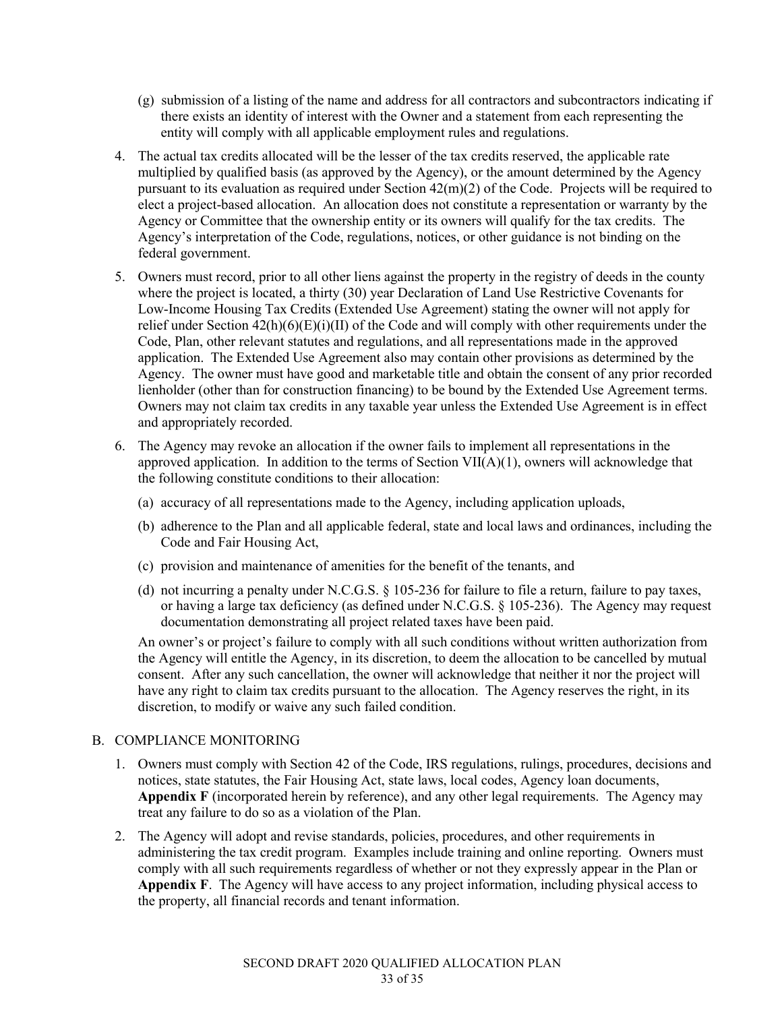- (g) submission of a listing of the name and address for all contractors and subcontractors indicating if there exists an identity of interest with the Owner and a statement from each representing the entity will comply with all applicable employment rules and regulations.
- 4. The actual tax credits allocated will be the lesser of the tax credits reserved, the applicable rate multiplied by qualified basis (as approved by the Agency), or the amount determined by the Agency pursuant to its evaluation as required under Section  $42(m)(2)$  of the Code. Projects will be required to elect a project-based allocation. An allocation does not constitute a representation or warranty by the Agency or Committee that the ownership entity or its owners will qualify for the tax credits. The Agency's interpretation of the Code, regulations, notices, or other guidance is not binding on the federal government.
- 5. Owners must record, prior to all other liens against the property in the registry of deeds in the county where the project is located, a thirty (30) year Declaration of Land Use Restrictive Covenants for Low-Income Housing Tax Credits (Extended Use Agreement) stating the owner will not apply for relief under Section 42(h)(6)(E)(i)(II) of the Code and will comply with other requirements under the Code, Plan, other relevant statutes and regulations, and all representations made in the approved application. The Extended Use Agreement also may contain other provisions as determined by the Agency. The owner must have good and marketable title and obtain the consent of any prior recorded lienholder (other than for construction financing) to be bound by the Extended Use Agreement terms. Owners may not claim tax credits in any taxable year unless the Extended Use Agreement is in effect and appropriately recorded.
- 6. The Agency may revoke an allocation if the owner fails to implement all representations in the approved application. In addition to the terms of Section VII(A)(1), owners will acknowledge that the following constitute conditions to their allocation:
	- (a) accuracy of all representations made to the Agency, including application uploads,
	- (b) adherence to the Plan and all applicable federal, state and local laws and ordinances, including the Code and Fair Housing Act,
	- (c) provision and maintenance of amenities for the benefit of the tenants, and
	- (d) not incurring a penalty under N.C.G.S. § 105-236 for failure to file a return, failure to pay taxes, or having a large tax deficiency (as defined under N.C.G.S. § 105-236). The Agency may request documentation demonstrating all project related taxes have been paid.

An owner's or project's failure to comply with all such conditions without written authorization from the Agency will entitle the Agency, in its discretion, to deem the allocation to be cancelled by mutual consent. After any such cancellation, the owner will acknowledge that neither it nor the project will have any right to claim tax credits pursuant to the allocation. The Agency reserves the right, in its discretion, to modify or waive any such failed condition.

# B. COMPLIANCE MONITORING

- 1. Owners must comply with Section 42 of the Code, IRS regulations, rulings, procedures, decisions and notices, state statutes, the Fair Housing Act, state laws, local codes, Agency loan documents, **Appendix F** (incorporated herein by reference), and any other legal requirements. The Agency may treat any failure to do so as a violation of the Plan.
- 2. The Agency will adopt and revise standards, policies, procedures, and other requirements in administering the tax credit program. Examples include training and online reporting. Owners must comply with all such requirements regardless of whether or not they expressly appear in the Plan or **Appendix F**. The Agency will have access to any project information, including physical access to the property, all financial records and tenant information.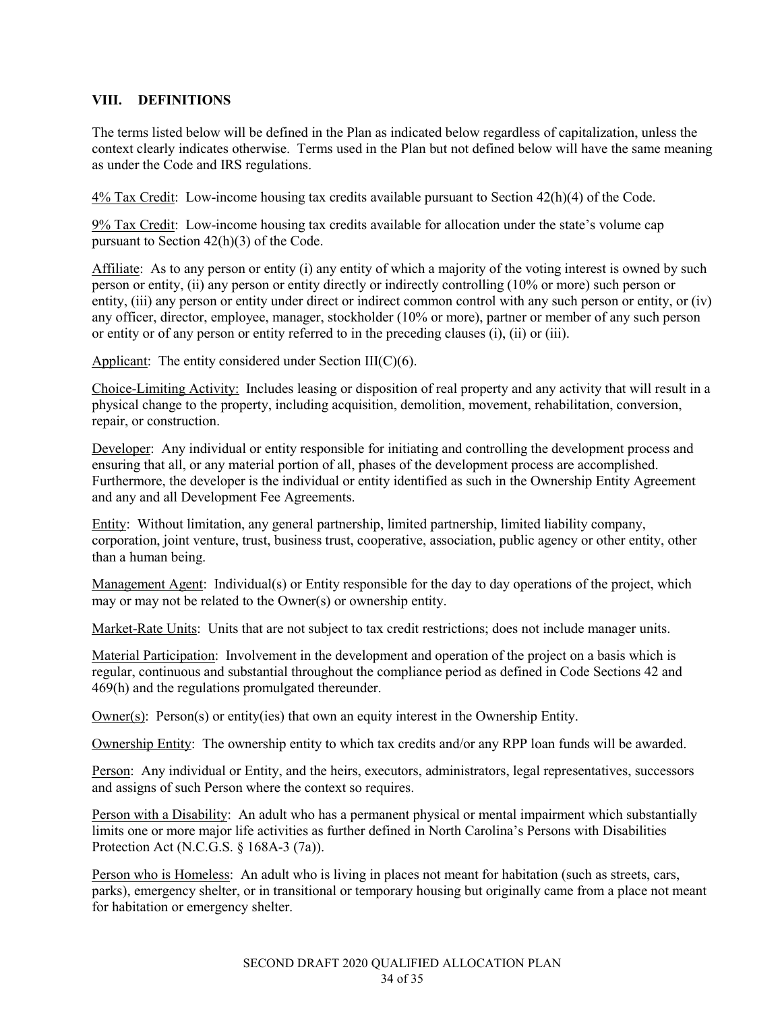### **VIII. DEFINITIONS**

The terms listed below will be defined in the Plan as indicated below regardless of capitalization, unless the context clearly indicates otherwise. Terms used in the Plan but not defined below will have the same meaning as under the Code and IRS regulations.

4% Tax Credit: Low-income housing tax credits available pursuant to Section 42(h)(4) of the Code.

9% Tax Credit: Low-income housing tax credits available for allocation under the state's volume cap pursuant to Section 42(h)(3) of the Code.

Affiliate: As to any person or entity (i) any entity of which a majority of the voting interest is owned by such person or entity, (ii) any person or entity directly or indirectly controlling (10% or more) such person or entity, (iii) any person or entity under direct or indirect common control with any such person or entity, or (iv) any officer, director, employee, manager, stockholder (10% or more), partner or member of any such person or entity or of any person or entity referred to in the preceding clauses (i), (ii) or (iii).

Applicant: The entity considered under Section III(C)(6).

Choice-Limiting Activity: Includes leasing or disposition of real property and any activity that will result in a physical change to the property, including acquisition, demolition, movement, rehabilitation, conversion, repair, or construction.

Developer: Any individual or entity responsible for initiating and controlling the development process and ensuring that all, or any material portion of all, phases of the development process are accomplished. Furthermore, the developer is the individual or entity identified as such in the Ownership Entity Agreement and any and all Development Fee Agreements.

Entity: Without limitation, any general partnership, limited partnership, limited liability company, corporation, joint venture, trust, business trust, cooperative, association, public agency or other entity, other than a human being.

Management Agent: Individual(s) or Entity responsible for the day to day operations of the project, which may or may not be related to the Owner(s) or ownership entity.

Market-Rate Units: Units that are not subject to tax credit restrictions; does not include manager units.

Material Participation: Involvement in the development and operation of the project on a basis which is regular, continuous and substantial throughout the compliance period as defined in Code Sections 42 and 469(h) and the regulations promulgated thereunder.

Owner(s): Person(s) or entity(ies) that own an equity interest in the Ownership Entity.

Ownership Entity: The ownership entity to which tax credits and/or any RPP loan funds will be awarded.

Person: Any individual or Entity, and the heirs, executors, administrators, legal representatives, successors and assigns of such Person where the context so requires.

Person with a Disability: An adult who has a permanent physical or mental impairment which substantially limits one or more major life activities as further defined in North Carolina's Persons with Disabilities Protection Act (N.C.G.S. § 168A-3 (7a)).

Person who is Homeless: An adult who is living in places not meant for habitation (such as streets, cars, parks), emergency shelter, or in transitional or temporary housing but originally came from a place not meant for habitation or emergency shelter.